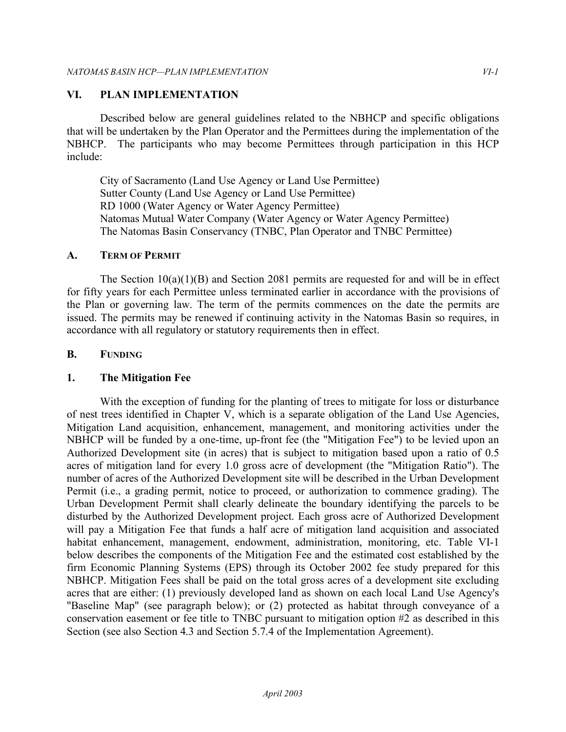### **VI. PLAN IMPLEMENTATION**

 Described below are general guidelines related to the NBHCP and specific obligations that will be undertaken by the Plan Operator and the Permittees during the implementation of the NBHCP. The participants who may become Permittees through participation in this HCP include:

 City of Sacramento (Land Use Agency or Land Use Permittee) Sutter County (Land Use Agency or Land Use Permittee) RD 1000 (Water Agency or Water Agency Permittee) Natomas Mutual Water Company (Water Agency or Water Agency Permittee) The Natomas Basin Conservancy (TNBC, Plan Operator and TNBC Permittee)

#### **A. TERM OF PERMIT**

 The Section 10(a)(1)(B) and Section 2081 permits are requested for and will be in effect for fifty years for each Permittee unless terminated earlier in accordance with the provisions of the Plan or governing law. The term of the permits commences on the date the permits are issued. The permits may be renewed if continuing activity in the Natomas Basin so requires, in accordance with all regulatory or statutory requirements then in effect.

#### **B. FUNDING**

# **1. The Mitigation Fee**

 With the exception of funding for the planting of trees to mitigate for loss or disturbance of nest trees identified in Chapter V, which is a separate obligation of the Land Use Agencies, Mitigation Land acquisition, enhancement, management, and monitoring activities under the NBHCP will be funded by a one-time, up-front fee (the "Mitigation Fee") to be levied upon an Authorized Development site (in acres) that is subject to mitigation based upon a ratio of 0.5 acres of mitigation land for every 1.0 gross acre of development (the "Mitigation Ratio"). The number of acres of the Authorized Development site will be described in the Urban Development Permit (i.e., a grading permit, notice to proceed, or authorization to commence grading). The Urban Development Permit shall clearly delineate the boundary identifying the parcels to be disturbed by the Authorized Development project. Each gross acre of Authorized Development will pay a Mitigation Fee that funds a half acre of mitigation land acquisition and associated habitat enhancement, management, endowment, administration, monitoring, etc. Table VI-1 below describes the components of the Mitigation Fee and the estimated cost established by the firm Economic Planning Systems (EPS) through its October 2002 fee study prepared for this NBHCP. Mitigation Fees shall be paid on the total gross acres of a development site excluding acres that are either: (1) previously developed land as shown on each local Land Use Agency's "Baseline Map" (see paragraph below); or (2) protected as habitat through conveyance of a conservation easement or fee title to TNBC pursuant to mitigation option #2 as described in this Section (see also Section 4.3 and Section 5.7.4 of the Implementation Agreement).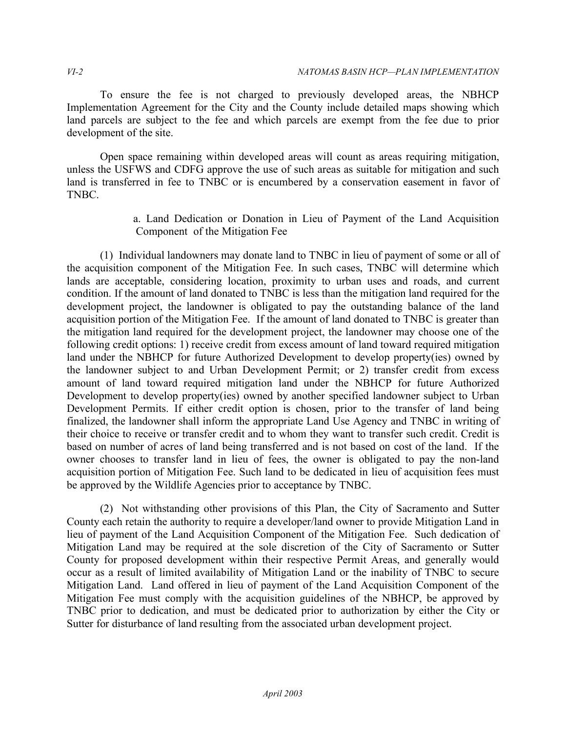To ensure the fee is not charged to previously developed areas, the NBHCP Implementation Agreement for the City and the County include detailed maps showing which land parcels are subject to the fee and which parcels are exempt from the fee due to prior development of the site.

 Open space remaining within developed areas will count as areas requiring mitigation, unless the USFWS and CDFG approve the use of such areas as suitable for mitigation and such land is transferred in fee to TNBC or is encumbered by a conservation easement in favor of TNBC.

#### a. Land Dedication or Donation in Lieu of Payment of the Land Acquisition Component of the Mitigation Fee

 (1) Individual landowners may donate land to TNBC in lieu of payment of some or all of the acquisition component of the Mitigation Fee. In such cases, TNBC will determine which lands are acceptable, considering location, proximity to urban uses and roads, and current condition. If the amount of land donated to TNBC is less than the mitigation land required for the development project, the landowner is obligated to pay the outstanding balance of the land acquisition portion of the Mitigation Fee. If the amount of land donated to TNBC is greater than the mitigation land required for the development project, the landowner may choose one of the following credit options: 1) receive credit from excess amount of land toward required mitigation land under the NBHCP for future Authorized Development to develop property(ies) owned by the landowner subject to and Urban Development Permit; or 2) transfer credit from excess amount of land toward required mitigation land under the NBHCP for future Authorized Development to develop property(ies) owned by another specified landowner subject to Urban Development Permits. If either credit option is chosen, prior to the transfer of land being finalized, the landowner shall inform the appropriate Land Use Agency and TNBC in writing of their choice to receive or transfer credit and to whom they want to transfer such credit. Credit is based on number of acres of land being transferred and is not based on cost of the land. If the owner chooses to transfer land in lieu of fees, the owner is obligated to pay the non-land acquisition portion of Mitigation Fee. Such land to be dedicated in lieu of acquisition fees must be approved by the Wildlife Agencies prior to acceptance by TNBC.

 (2) Not withstanding other provisions of this Plan, the City of Sacramento and Sutter County each retain the authority to require a developer/land owner to provide Mitigation Land in lieu of payment of the Land Acquisition Component of the Mitigation Fee. Such dedication of Mitigation Land may be required at the sole discretion of the City of Sacramento or Sutter County for proposed development within their respective Permit Areas, and generally would occur as a result of limited availability of Mitigation Land or the inability of TNBC to secure Mitigation Land. Land offered in lieu of payment of the Land Acquisition Component of the Mitigation Fee must comply with the acquisition guidelines of the NBHCP, be approved by TNBC prior to dedication, and must be dedicated prior to authorization by either the City or Sutter for disturbance of land resulting from the associated urban development project.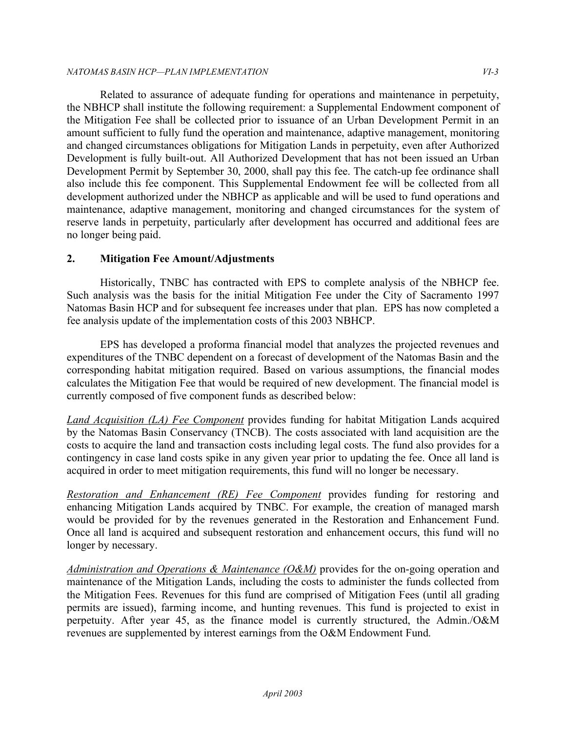#### *NATOMAS BASIN HCP—PLAN IMPLEMENTATION VI-3*

 Related to assurance of adequate funding for operations and maintenance in perpetuity, the NBHCP shall institute the following requirement: a Supplemental Endowment component of the Mitigation Fee shall be collected prior to issuance of an Urban Development Permit in an amount sufficient to fully fund the operation and maintenance, adaptive management, monitoring and changed circumstances obligations for Mitigation Lands in perpetuity, even after Authorized Development is fully built-out. All Authorized Development that has not been issued an Urban Development Permit by September 30, 2000, shall pay this fee. The catch-up fee ordinance shall also include this fee component. This Supplemental Endowment fee will be collected from all development authorized under the NBHCP as applicable and will be used to fund operations and maintenance, adaptive management, monitoring and changed circumstances for the system of reserve lands in perpetuity, particularly after development has occurred and additional fees are no longer being paid.

#### **2. Mitigation Fee Amount/Adjustments**

 Historically, TNBC has contracted with EPS to complete analysis of the NBHCP fee. Such analysis was the basis for the initial Mitigation Fee under the City of Sacramento 1997 Natomas Basin HCP and for subsequent fee increases under that plan. EPS has now completed a fee analysis update of the implementation costs of this 2003 NBHCP.

 EPS has developed a proforma financial model that analyzes the projected revenues and expenditures of the TNBC dependent on a forecast of development of the Natomas Basin and the corresponding habitat mitigation required. Based on various assumptions, the financial modes calculates the Mitigation Fee that would be required of new development. The financial model is currently composed of five component funds as described below:

 *Land Acquisition (LA) Fee Component* provides funding for habitat Mitigation Lands acquired by the Natomas Basin Conservancy (TNCB). The costs associated with land acquisition are the costs to acquire the land and transaction costs including legal costs. The fund also provides for a contingency in case land costs spike in any given year prior to updating the fee. Once all land is acquired in order to meet mitigation requirements, this fund will no longer be necessary.

*Restoration and Enhancement (RE) Fee Component* provides funding for restoring and enhancing Mitigation Lands acquired by TNBC. For example, the creation of managed marsh would be provided for by the revenues generated in the Restoration and Enhancement Fund. Once all land is acquired and subsequent restoration and enhancement occurs, this fund will no longer by necessary.

 *Administration and Operations & Maintenance (O&M)* provides for the on-going operation and maintenance of the Mitigation Lands, including the costs to administer the funds collected from the Mitigation Fees. Revenues for this fund are comprised of Mitigation Fees (until all grading permits are issued), farming income, and hunting revenues. This fund is projected to exist in perpetuity. After year 45, as the finance model is currently structured, the Admin./O&M revenues are supplemented by interest earnings from the O&M Endowment Fund.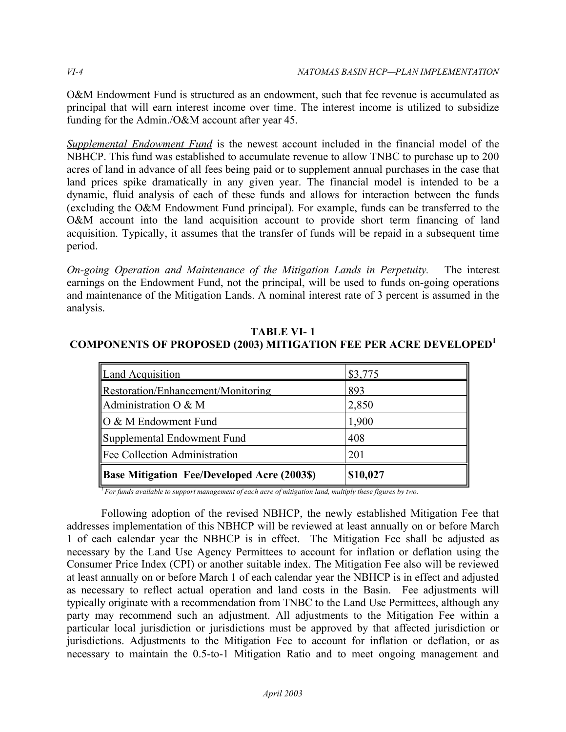O&M Endowment Fund is structured as an endowment, such that fee revenue is accumulated as principal that will earn interest income over time. The interest income is utilized to subsidize funding for the Admin./O&M account after year 45.

**Supplemental Endowment Fund** is the newest account included in the financial model of the NBHCP. This fund was established to accumulate revenue to allow TNBC to purchase up to 200 acres of land in advance of all fees being paid or to supplement annual purchases in the case that land prices spike dramatically in any given year. The financial model is intended to be a dynamic, fluid analysis of each of these funds and allows for interaction between the funds (excluding the O&M Endowment Fund principal). For example, funds can be transferred to the O&M account into the land acquisition account to provide short term financing of land acquisition. Typically, it assumes that the transfer of funds will be repaid in a subsequent time period.

 *On-going Operation and Maintenance of the Mitigation Lands in Perpetuity.* The interest earnings on the Endowment Fund, not the principal, will be used to funds on-going operations and maintenance of the Mitigation Lands. A nominal interest rate of 3 percent is assumed in the analysis.

# **COMPONENTS OF PROPOSED (2003) MITIGATION FEE PER ACRE DEVELOPED1**  Land Acquisition 53,775

**TABLE VI- 1** 

| <b>Land Acquisition</b>                            | \$3,775  |
|----------------------------------------------------|----------|
| Restoration/Enhancement/Monitoring                 | 893      |
| Administration O & M                               | 2,850    |
| O & M Endowment Fund                               | 1,900    |
| Supplemental Endowment Fund                        | 408      |
| <b>Fee Collection Administration</b>               | 201      |
| <b>Base Mitigation Fee/Developed Acre (2003\$)</b> | \$10,027 |

<sup>*I*</sup> For funds available to support management of each acre of mitigation land, multiply these figures by two.

 Following adoption of the revised NBHCP, the newly established Mitigation Fee that addresses implementation of this NBHCP will be reviewed at least annually on or before March 1 of each calendar year the NBHCP is in effect. The Mitigation Fee shall be adjusted as necessary by the Land Use Agency Permittees to account for inflation or deflation using the Consumer Price Index (CPI) or another suitable index. The Mitigation Fee also will be reviewed at least annually on or before March 1 of each calendar year the NBHCP is in effect and adjusted as necessary to reflect actual operation and land costs in the Basin. Fee adjustments will typically originate with a recommendation from TNBC to the Land Use Permittees, although any party may recommend such an adjustment. All adjustments to the Mitigation Fee within a particular local jurisdiction or jurisdictions must be approved by that affected jurisdiction or jurisdictions. Adjustments to the Mitigation Fee to account for inflation or deflation, or as necessary to maintain the 0.5-to-1 Mitigation Ratio and to meet ongoing management and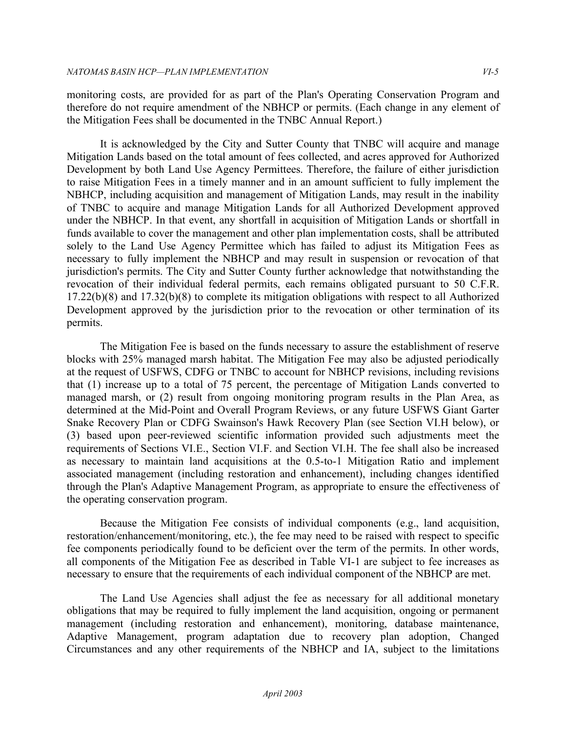monitoring costs, are provided for as part of the Plan's Operating Conservation Program and therefore do not require amendment of the NBHCP or permits. (Each change in any element of the Mitigation Fees shall be documented in the TNBC Annual Report.)

 It is acknowledged by the City and Sutter County that TNBC will acquire and manage Mitigation Lands based on the total amount of fees collected, and acres approved for Authorized Development by both Land Use Agency Permittees. Therefore, the failure of either jurisdiction to raise Mitigation Fees in a timely manner and in an amount sufficient to fully implement the NBHCP, including acquisition and management of Mitigation Lands, may result in the inability of TNBC to acquire and manage Mitigation Lands for all Authorized Development approved under the NBHCP. In that event, any shortfall in acquisition of Mitigation Lands or shortfall in funds available to cover the management and other plan implementation costs, shall be attributed solely to the Land Use Agency Permittee which has failed to adjust its Mitigation Fees as necessary to fully implement the NBHCP and may result in suspension or revocation of that jurisdiction's permits. The City and Sutter County further acknowledge that notwithstanding the revocation of their individual federal permits, each remains obligated pursuant to 50 C.F.R. 17.22(b)(8) and 17.32(b)(8) to complete its mitigation obligations with respect to all Authorized Development approved by the jurisdiction prior to the revocation or other termination of its permits.

The Mitigation Fee is based on the funds necessary to assure the establishment of reserve blocks with 25% managed marsh habitat. The Mitigation Fee may also be adjusted periodically at the request of USFWS, CDFG or TNBC to account for NBHCP revisions, including revisions that (1) increase up to a total of 75 percent, the percentage of Mitigation Lands converted to managed marsh, or (2) result from ongoing monitoring program results in the Plan Area, as determined at the Mid-Point and Overall Program Reviews, or any future USFWS Giant Garter Snake Recovery Plan or CDFG Swainson's Hawk Recovery Plan (see Section VI.H below), or (3) based upon peer-reviewed scientific information provided such adjustments meet the requirements of Sections VI.E., Section VI.F. and Section VI.H. The fee shall also be increased as necessary to maintain land acquisitions at the 0.5-to-1 Mitigation Ratio and implement associated management (including restoration and enhancement), including changes identified through the Plan's Adaptive Management Program, as appropriate to ensure the effectiveness of the operating conservation program.

 Because the Mitigation Fee consists of individual components (e.g., land acquisition, restoration/enhancement/monitoring, etc.), the fee may need to be raised with respect to specific fee components periodically found to be deficient over the term of the permits. In other words, all components of the Mitigation Fee as described in Table VI-1 are subject to fee increases as necessary to ensure that the requirements of each individual component of the NBHCP are met.

 The Land Use Agencies shall adjust the fee as necessary for all additional monetary obligations that may be required to fully implement the land acquisition, ongoing or permanent management (including restoration and enhancement), monitoring, database maintenance, Adaptive Management, program adaptation due to recovery plan adoption, Changed Circumstances and any other requirements of the NBHCP and IA, subject to the limitations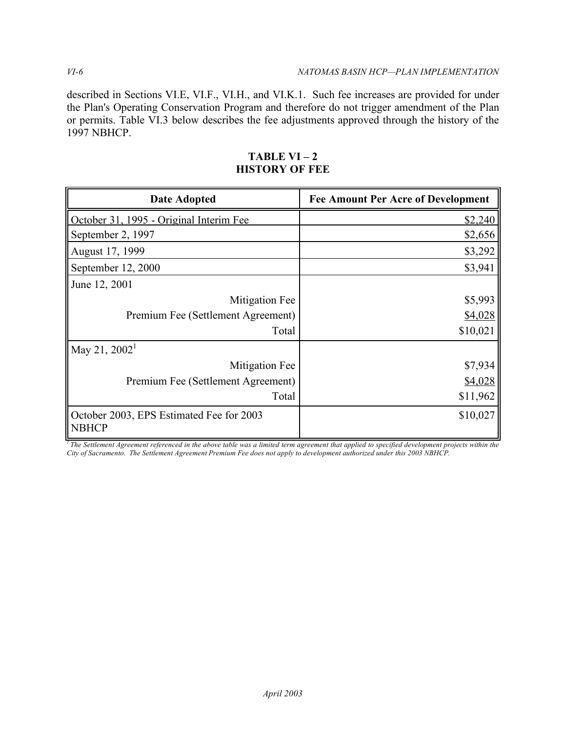described in Sections VI.E, VI.F., VI.H., and VI.K.1. Such fee increases are provided for under the Plan's Operating Conservation Program and therefore do not trigger amendment of the Plan or permits. Table VI.3 below describes the fee adjustments approved through the history of the 1997 NBHCP.

| <b>Date Adopted</b>                                      | <b>Fee Amount Per Acre of Development</b> |
|----------------------------------------------------------|-------------------------------------------|
| October 31, 1995 - Original Interim Fee                  | \$2,240                                   |
| September 2, 1997                                        | \$2,656                                   |
| August 17, 1999                                          | \$3,292                                   |
| September 12, 2000                                       | \$3,941                                   |
| June 12, 2001                                            |                                           |
| Mitigation Fee                                           | \$5,993                                   |
| Premium Fee (Settlement Agreement)                       | \$4,028                                   |
| Total                                                    | \$10,021                                  |
| May 21, $2002^1$                                         |                                           |
| Mitigation Fee                                           | \$7,934                                   |
| Premium Fee (Settlement Agreement)                       | \$4,028                                   |
| Total                                                    | \$11,962                                  |
| October 2003, EPS Estimated Fee for 2003<br><b>NBHCP</b> | \$10,027                                  |

# **TABLE VI – 2 HISTORY OF FEE**

<sup>1</sup> The Settlement Agreement referenced in the above table was a limited term agreement that applied to specified development projects within the  *City of Sacramento. The Settlement Agreement Premium Fee does not apply to development authorized under this 2003 NBHCP.*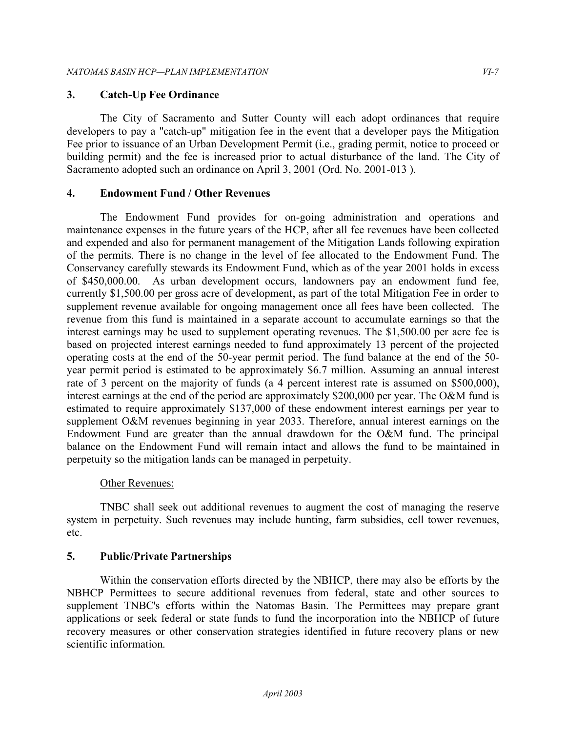### **3. Catch-Up Fee Ordinance**

 The City of Sacramento and Sutter County will each adopt ordinances that require developers to pay a "catch-up" mitigation fee in the event that a developer pays the Mitigation Fee prior to issuance of an Urban Development Permit (i.e., grading permit, notice to proceed or building permit) and the fee is increased prior to actual disturbance of the land. The City of Sacramento adopted such an ordinance on April 3, 2001 (Ord. No. 2001-013 ).

#### **4. Endowment Fund / Other Revenues**

The Endowment Fund provides for on-going administration and operations and maintenance expenses in the future years of the HCP, after all fee revenues have been collected and expended and also for permanent management of the Mitigation Lands following expiration of the permits. There is no change in the level of fee allocated to the Endowment Fund. The Conservancy carefully stewards its Endowment Fund, which as of the year 2001 holds in excess of \$450,000.00. As urban development occurs, landowners pay an endowment fund fee, currently \$1,500.00 per gross acre of development, as part of the total Mitigation Fee in order to supplement revenue available for ongoing management once all fees have been collected. The revenue from this fund is maintained in a separate account to accumulate earnings so that the interest earnings may be used to supplement operating revenues. The \$1,500.00 per acre fee is based on projected interest earnings needed to fund approximately 13 percent of the projected operating costs at the end of the 50-year permit period. The fund balance at the end of the 50 year permit period is estimated to be approximately \$6.7 million. Assuming an annual interest rate of 3 percent on the majority of funds (a 4 percent interest rate is assumed on \$500,000), interest earnings at the end of the period are approximately \$200,000 per year. The O&M fund is estimated to require approximately \$137,000 of these endowment interest earnings per year to supplement O&M revenues beginning in year 2033. Therefore, annual interest earnings on the Endowment Fund are greater than the annual drawdown for the O&M fund. The principal balance on the Endowment Fund will remain intact and allows the fund to be maintained in perpetuity so the mitigation lands can be managed in perpetuity.

#### Other Revenues:

 TNBC shall seek out additional revenues to augment the cost of managing the reserve system in perpetuity. Such revenues may include hunting, farm subsidies, cell tower revenues, etc.

# **5. Public/Private Partnerships**

 Within the conservation efforts directed by the NBHCP, there may also be efforts by the NBHCP Permittees to secure additional revenues from federal, state and other sources to supplement TNBC's efforts within the Natomas Basin. The Permittees may prepare grant applications or seek federal or state funds to fund the incorporation into the NBHCP of future recovery measures or other conservation strategies identified in future recovery plans or new scientific information.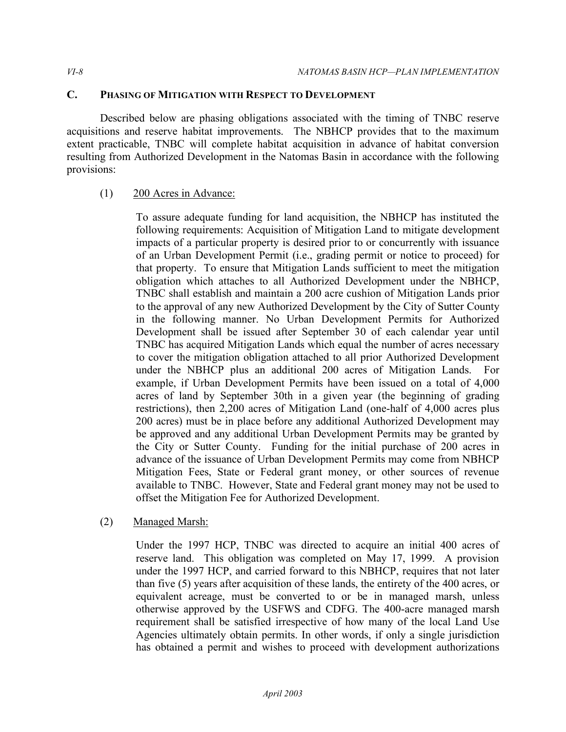#### **C. PHASING OF MITIGATION WITH RESPECT TO DEVELOPMENT**

 Described below are phasing obligations associated with the timing of TNBC reserve acquisitions and reserve habitat improvements. The NBHCP provides that to the maximum extent practicable, TNBC will complete habitat acquisition in advance of habitat conversion resulting from Authorized Development in the Natomas Basin in accordance with the following provisions:

#### (1) 200 Acres in Advance:

 To assure adequate funding for land acquisition, the NBHCP has instituted the following requirements: Acquisition of Mitigation Land to mitigate development impacts of a particular property is desired prior to or concurrently with issuance of an Urban Development Permit (i.e., grading permit or notice to proceed) for that property. To ensure that Mitigation Lands sufficient to meet the mitigation obligation which attaches to all Authorized Development under the NBHCP, TNBC shall establish and maintain a 200 acre cushion of Mitigation Lands prior to the approval of any new Authorized Development by the City of Sutter County in the following manner. No Urban Development Permits for Authorized Development shall be issued after September 30 of each calendar year until TNBC has acquired Mitigation Lands which equal the number of acres necessary to cover the mitigation obligation attached to all prior Authorized Development under the NBHCP plus an additional 200 acres of Mitigation Lands. For example, if Urban Development Permits have been issued on a total of 4,000 acres of land by September 30th in a given year (the beginning of grading restrictions), then 2,200 acres of Mitigation Land (one-half of 4,000 acres plus 200 acres) must be in place before any additional Authorized Development may be approved and any additional Urban Development Permits may be granted by the City or Sutter County. Funding for the initial purchase of 200 acres in advance of the issuance of Urban Development Permits may come from NBHCP Mitigation Fees, State or Federal grant money, or other sources of revenue available to TNBC. However, State and Federal grant money may not be used to offset the Mitigation Fee for Authorized Development.

#### (2) Managed Marsh:

 Under the 1997 HCP, TNBC was directed to acquire an initial 400 acres of reserve land. This obligation was completed on May 17, 1999. A provision under the 1997 HCP, and carried forward to this NBHCP, requires that not later than five (5) years after acquisition of these lands, the entirety of the 400 acres, or equivalent acreage, must be converted to or be in managed marsh, unless otherwise approved by the USFWS and CDFG. The 400-acre managed marsh requirement shall be satisfied irrespective of how many of the local Land Use Agencies ultimately obtain permits. In other words, if only a single jurisdiction has obtained a permit and wishes to proceed with development authorizations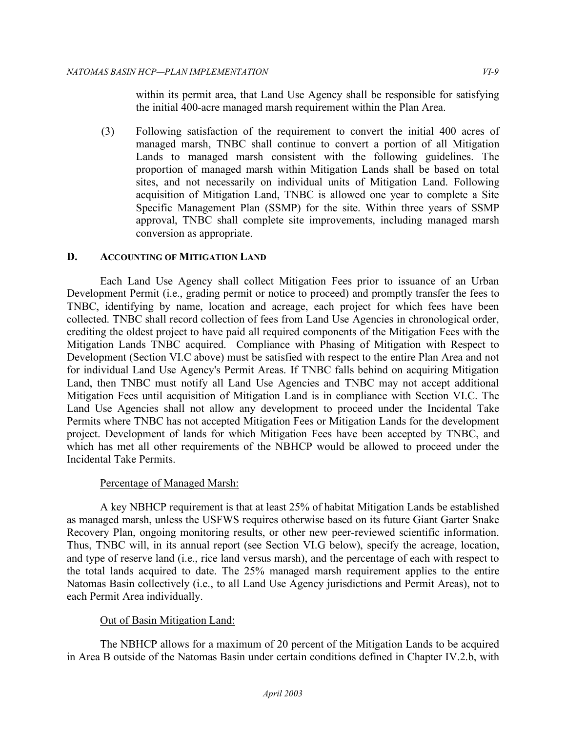within its permit area, that Land Use Agency shall be responsible for satisfying the initial 400-acre managed marsh requirement within the Plan Area.

 (3) Following satisfaction of the requirement to convert the initial 400 acres of managed marsh, TNBC shall continue to convert a portion of all Mitigation Lands to managed marsh consistent with the following guidelines. The proportion of managed marsh within Mitigation Lands shall be based on total sites, and not necessarily on individual units of Mitigation Land. Following acquisition of Mitigation Land, TNBC is allowed one year to complete a Site Specific Management Plan (SSMP) for the site. Within three years of SSMP approval, TNBC shall complete site improvements, including managed marsh conversion as appropriate.

#### **D. ACCOUNTING OF MITIGATION LAND**

 Each Land Use Agency shall collect Mitigation Fees prior to issuance of an Urban Development Permit (i.e., grading permit or notice to proceed) and promptly transfer the fees to TNBC, identifying by name, location and acreage, each project for which fees have been collected. TNBC shall record collection of fees from Land Use Agencies in chronological order, crediting the oldest project to have paid all required components of the Mitigation Fees with the Mitigation Lands TNBC acquired. Compliance with Phasing of Mitigation with Respect to Development (Section VI.C above) must be satisfied with respect to the entire Plan Area and not for individual Land Use Agency's Permit Areas. If TNBC falls behind on acquiring Mitigation Land, then TNBC must notify all Land Use Agencies and TNBC may not accept additional Mitigation Fees until acquisition of Mitigation Land is in compliance with Section VI.C. The Land Use Agencies shall not allow any development to proceed under the Incidental Take Permits where TNBC has not accepted Mitigation Fees or Mitigation Lands for the development project. Development of lands for which Mitigation Fees have been accepted by TNBC, and which has met all other requirements of the NBHCP would be allowed to proceed under the Incidental Take Permits.

#### Percentage of Managed Marsh:

 A key NBHCP requirement is that at least 25% of habitat Mitigation Lands be established as managed marsh, unless the USFWS requires otherwise based on its future Giant Garter Snake Recovery Plan, ongoing monitoring results, or other new peer-reviewed scientific information. Thus, TNBC will, in its annual report (see Section VI.G below), specify the acreage, location, and type of reserve land (i.e., rice land versus marsh), and the percentage of each with respect to the total lands acquired to date. The 25% managed marsh requirement applies to the entire Natomas Basin collectively (i.e., to all Land Use Agency jurisdictions and Permit Areas), not to each Permit Area individually.

#### Out of Basin Mitigation Land:

 The NBHCP allows for a maximum of 20 percent of the Mitigation Lands to be acquired in Area B outside of the Natomas Basin under certain conditions defined in Chapter IV.2.b, with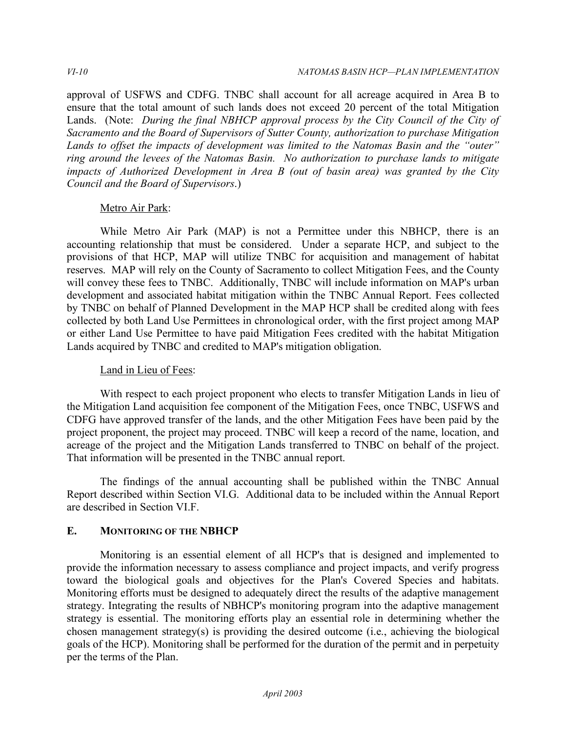approval of USFWS and CDFG. TNBC shall account for all acreage acquired in Area B to ensure that the total amount of such lands does not exceed 20 percent of the total Mitigation Lands. (Note: *During the final NBHCP approval process by the City Council of the City of Sacramento and the Board of Supervisors of Sutter County, authorization to purchase Mitigation Lands to offset the impacts of development was limited to the Natomas Basin and the "outer" ring around the levees of the Natomas Basin. No authorization to purchase lands to mitigate*  impacts of Authorized Development in Area B (out of basin area) was granted by the City  *Council and the Board of Supervisors*.)

#### Metro Air Park:

 While Metro Air Park (MAP) is not a Permittee under this NBHCP, there is an accounting relationship that must be considered. Under a separate HCP, and subject to the provisions of that HCP, MAP will utilize TNBC for acquisition and management of habitat reserves. MAP will rely on the County of Sacramento to collect Mitigation Fees, and the County will convey these fees to TNBC. Additionally, TNBC will include information on MAP's urban development and associated habitat mitigation within the TNBC Annual Report. Fees collected by TNBC on behalf of Planned Development in the MAP HCP shall be credited along with fees collected by both Land Use Permittees in chronological order, with the first project among MAP or either Land Use Permittee to have paid Mitigation Fees credited with the habitat Mitigation Lands acquired by TNBC and credited to MAP's mitigation obligation.

### Land in Lieu of Fees:

 With respect to each project proponent who elects to transfer Mitigation Lands in lieu of the Mitigation Land acquisition fee component of the Mitigation Fees, once TNBC, USFWS and CDFG have approved transfer of the lands, and the other Mitigation Fees have been paid by the project proponent, the project may proceed. TNBC will keep a record of the name, location, and acreage of the project and the Mitigation Lands transferred to TNBC on behalf of the project. That information will be presented in the TNBC annual report.

 The findings of the annual accounting shall be published within the TNBC Annual Report described within Section VI.G. Additional data to be included within the Annual Report are described in Section VI.F.

#### **E. MONITORING OF THE NBHCP**

 Monitoring is an essential element of all HCP's that is designed and implemented to provide the information necessary to assess compliance and project impacts, and verify progress toward the biological goals and objectives for the Plan's Covered Species and habitats. Monitoring efforts must be designed to adequately direct the results of the adaptive management strategy. Integrating the results of NBHCP's monitoring program into the adaptive management strategy is essential. The monitoring efforts play an essential role in determining whether the chosen management strategy(s) is providing the desired outcome (i.e., achieving the biological goals of the HCP). Monitoring shall be performed for the duration of the permit and in perpetuity per the terms of the Plan.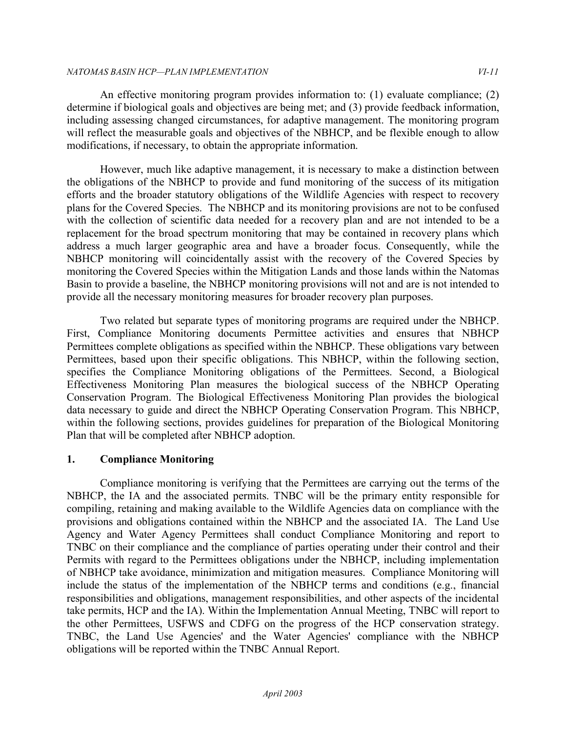#### *NATOMAS BASIN HCP—PLAN IMPLEMENTATION VI-11*

 An effective monitoring program provides information to: (1) evaluate compliance; (2) determine if biological goals and objectives are being met; and (3) provide feedback information, including assessing changed circumstances, for adaptive management. The monitoring program will reflect the measurable goals and objectives of the NBHCP, and be flexible enough to allow modifications, if necessary, to obtain the appropriate information.

 However, much like adaptive management, it is necessary to make a distinction between the obligations of the NBHCP to provide and fund monitoring of the success of its mitigation efforts and the broader statutory obligations of the Wildlife Agencies with respect to recovery plans for the Covered Species. The NBHCP and its monitoring provisions are not to be confused with the collection of scientific data needed for a recovery plan and are not intended to be a replacement for the broad spectrum monitoring that may be contained in recovery plans which address a much larger geographic area and have a broader focus. Consequently, while the NBHCP monitoring will coincidentally assist with the recovery of the Covered Species by monitoring the Covered Species within the Mitigation Lands and those lands within the Natomas Basin to provide a baseline, the NBHCP monitoring provisions will not and are is not intended to provide all the necessary monitoring measures for broader recovery plan purposes.

 Two related but separate types of monitoring programs are required under the NBHCP. First, Compliance Monitoring documents Permittee activities and ensures that NBHCP Permittees complete obligations as specified within the NBHCP. These obligations vary between Permittees, based upon their specific obligations. This NBHCP, within the following section, specifies the Compliance Monitoring obligations of the Permittees. Second, a Biological Effectiveness Monitoring Plan measures the biological success of the NBHCP Operating Conservation Program. The Biological Effectiveness Monitoring Plan provides the biological data necessary to guide and direct the NBHCP Operating Conservation Program. This NBHCP, within the following sections, provides guidelines for preparation of the Biological Monitoring Plan that will be completed after NBHCP adoption.

# **1. Compliance Monitoring**

 Compliance monitoring is verifying that the Permittees are carrying out the terms of the NBHCP, the IA and the associated permits. TNBC will be the primary entity responsible for compiling, retaining and making available to the Wildlife Agencies data on compliance with the provisions and obligations contained within the NBHCP and the associated IA. The Land Use Agency and Water Agency Permittees shall conduct Compliance Monitoring and report to TNBC on their compliance and the compliance of parties operating under their control and their Permits with regard to the Permittees obligations under the NBHCP, including implementation of NBHCP take avoidance, minimization and mitigation measures. Compliance Monitoring will include the status of the implementation of the NBHCP terms and conditions (e.g., financial responsibilities and obligations, management responsibilities, and other aspects of the incidental take permits, HCP and the IA). Within the Implementation Annual Meeting, TNBC will report to the other Permittees, USFWS and CDFG on the progress of the HCP conservation strategy. TNBC, the Land Use Agencies' and the Water Agencies' compliance with the NBHCP obligations will be reported within the TNBC Annual Report.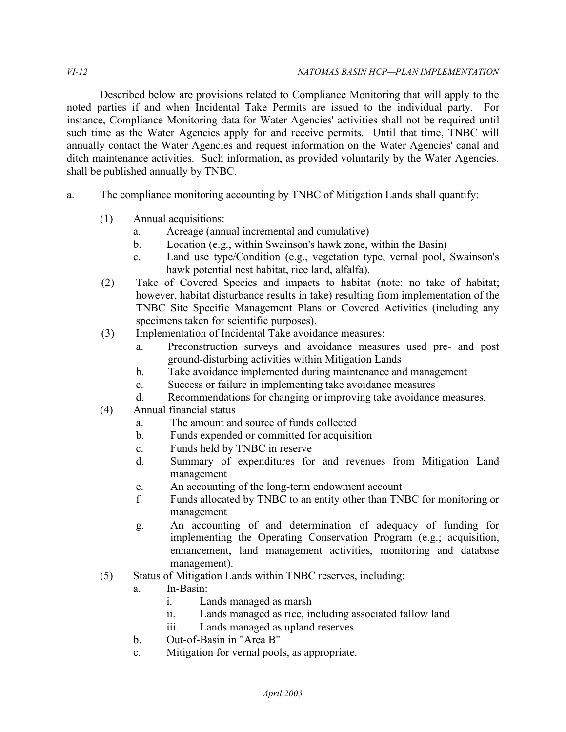Described below are provisions related to Compliance Monitoring that will apply to the noted parties if and when Incidental Take Permits are issued to the individual party. For instance, Compliance Monitoring data for Water Agencies' activities shall not be required until such time as the Water Agencies apply for and receive permits. Until that time, TNBC will annually contact the Water Agencies and request information on the Water Agencies' canal and ditch maintenance activities. Such information, as provided voluntarily by the Water Agencies, shall be published annually by TNBC.

- a. The compliance monitoring accounting by TNBC of Mitigation Lands shall quantify:
	- (1) Annual acquisitions:
		- a. Acreage (annual incremental and cumulative)
		- b. Location (e.g., within Swainson's hawk zone, within the Basin)
		- c. Land use type/Condition (e.g., vegetation type, vernal pool, Swainson's hawk potential nest habitat, rice land, alfalfa).
	- (2) Take of Covered Species and impacts to habitat (note: no take of habitat; however, habitat disturbance results in take) resulting from implementation of the TNBC Site Specific Management Plans or Covered Activities (including any specimens taken for scientific purposes).
	- (3) Implementation of Incidental Take avoidance measures:
		- a. Preconstruction surveys and avoidance measures used pre- and post ground-disturbing activities within Mitigation Lands
		- b. Take avoidance implemented during maintenance and management
		- c. Success or failure in implementing take avoidance measures
		- d. Recommendations for changing or improving take avoidance measures.
	- (4) Annual financial status
		- a. The amount and source of funds collected
		- b. Funds expended or committed for acquisition
		- c. Funds held by TNBC in reserve
		- d. Summary of expenditures for and revenues from Mitigation Land management
		- e. An accounting of the long-term endowment account
		- f. Funds allocated by TNBC to an entity other than TNBC for monitoring or management
		- implementing the Operating Conservation Program (e.g.; acquisition, enhancement, land management activities, monitoring and database g. An accounting of and determination of adequacy of funding for management).
	- (5) Status of Mitigation Lands within TNBC reserves, including:
		- a. In-Basin:
			- i. Lands managed as marsh
			- ii. Lands managed as rice, including associated fallow land
			- iii. Lands managed as upland reserves
		- b. Out-of-Basin in "Area B"
		- c. Mitigation for vernal pools, as appropriate.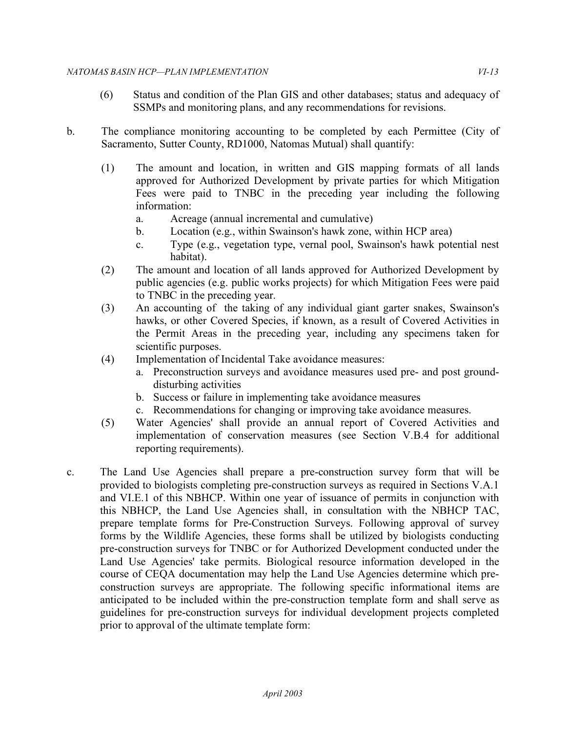- (6) Status and condition of the Plan GIS and other databases; status and adequacy of SSMPs and monitoring plans, and any recommendations for revisions.
- b. The compliance monitoring accounting to be completed by each Permittee (City of Sacramento, Sutter County, RD1000, Natomas Mutual) shall quantify:
	- (1) The amount and location, in written and GIS mapping formats of all lands approved for Authorized Development by private parties for which Mitigation Fees were paid to TNBC in the preceding year including the following information:
		- a. Acreage (annual incremental and cumulative)
		- b. Location (e.g., within Swainson's hawk zone, within HCP area)
		- c. Type (e.g., vegetation type, vernal pool, Swainson's hawk potential nest habitat).
	- (2) The amount and location of all lands approved for Authorized Development by public agencies (e.g. public works projects) for which Mitigation Fees were paid to TNBC in the preceding year.
	- (3) An accounting of the taking of any individual giant garter snakes, Swainson's hawks, or other Covered Species, if known, as a result of Covered Activities in the Permit Areas in the preceding year, including any specimens taken for scientific purposes.
	- (4) Implementation of Incidental Take avoidance measures:
		- a. Preconstruction surveys and avoidance measures used pre- and post grounddisturbing activities
		- b. Success or failure in implementing take avoidance measures
		- c. Recommendations for changing or improving take avoidance measures.
	- (5) Water Agencies' shall provide an annual report of Covered Activities and implementation of conservation measures (see Section V.B.4 for additional reporting requirements).
- c. The Land Use Agencies shall prepare a pre-construction survey form that will be provided to biologists completing pre-construction surveys as required in Sections V.A.1 and VI.E.1 of this NBHCP. Within one year of issuance of permits in conjunction with this NBHCP, the Land Use Agencies shall, in consultation with the NBHCP TAC, prepare template forms for Pre-Construction Surveys. Following approval of survey forms by the Wildlife Agencies, these forms shall be utilized by biologists conducting pre-construction surveys for TNBC or for Authorized Development conducted under the Land Use Agencies' take permits. Biological resource information developed in the course of CEQA documentation may help the Land Use Agencies determine which pre- construction surveys are appropriate. The following specific informational items are anticipated to be included within the pre-construction template form and shall serve as guidelines for pre-construction surveys for individual development projects completed prior to approval of the ultimate template form: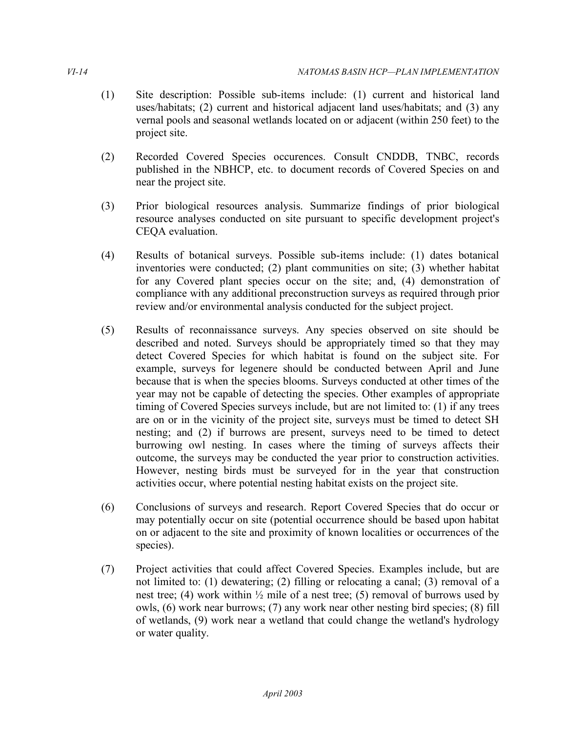- (1) Site description: Possible sub-items include: (1) current and historical land uses/habitats; (2) current and historical adjacent land uses/habitats; and (3) any vernal pools and seasonal wetlands located on or adjacent (within 250 feet) to the project site.
- (2) Recorded Covered Species occurences. Consult CNDDB, TNBC, records published in the NBHCP, etc. to document records of Covered Species on and near the project site.
- (3) Prior biological resources analysis. Summarize findings of prior biological resource analyses conducted on site pursuant to specific development project's CEQA evaluation.
- (4) Results of botanical surveys. Possible sub-items include: (1) dates botanical inventories were conducted; (2) plant communities on site; (3) whether habitat for any Covered plant species occur on the site; and, (4) demonstration of compliance with any additional preconstruction surveys as required through prior review and/or environmental analysis conducted for the subject project.
- (5) Results of reconnaissance surveys. Any species observed on site should be described and noted. Surveys should be appropriately timed so that they may detect Covered Species for which habitat is found on the subject site. For example, surveys for legenere should be conducted between April and June because that is when the species blooms. Surveys conducted at other times of the year may not be capable of detecting the species. Other examples of appropriate timing of Covered Species surveys include, but are not limited to: (1) if any trees are on or in the vicinity of the project site, surveys must be timed to detect SH nesting; and (2) if burrows are present, surveys need to be timed to detect burrowing owl nesting. In cases where the timing of surveys affects their outcome, the surveys may be conducted the year prior to construction activities. However, nesting birds must be surveyed for in the year that construction activities occur, where potential nesting habitat exists on the project site.
- (6) Conclusions of surveys and research. Report Covered Species that do occur or may potentially occur on site (potential occurrence should be based upon habitat on or adjacent to the site and proximity of known localities or occurrences of the species).
- (7) Project activities that could affect Covered Species. Examples include, but are not limited to: (1) dewatering; (2) filling or relocating a canal; (3) removal of a nest tree; (4) work within  $\frac{1}{2}$  mile of a nest tree; (5) removal of burrows used by owls, (6) work near burrows; (7) any work near other nesting bird species; (8) fill of wetlands, (9) work near a wetland that could change the wetland's hydrology or water quality.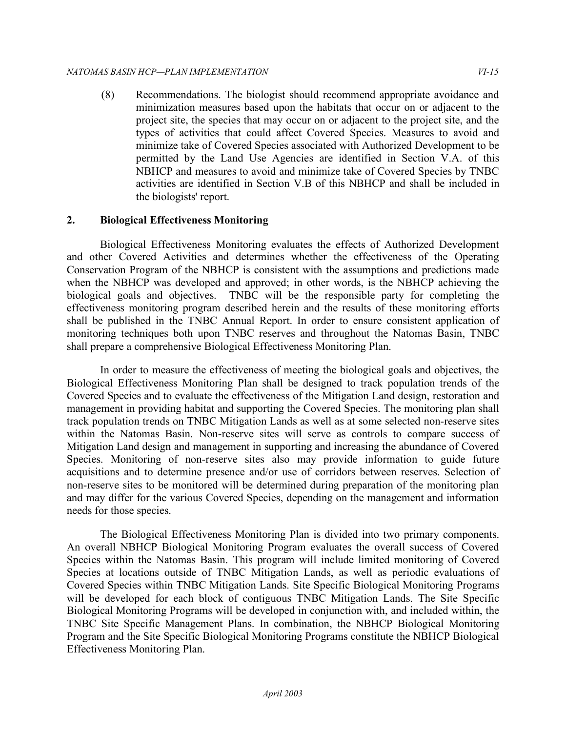#### *NATOMAS BASIN HCP—PLAN IMPLEMENTATION VI-15*

 (8) Recommendations. The biologist should recommend appropriate avoidance and minimization measures based upon the habitats that occur on or adjacent to the project site, the species that may occur on or adjacent to the project site, and the types of activities that could affect Covered Species. Measures to avoid and minimize take of Covered Species associated with Authorized Development to be permitted by the Land Use Agencies are identified in Section V.A. of this NBHCP and measures to avoid and minimize take of Covered Species by TNBC activities are identified in Section V.B of this NBHCP and shall be included in the biologists' report.

### **2. Biological Effectiveness Monitoring**

 Biological Effectiveness Monitoring evaluates the effects of Authorized Development and other Covered Activities and determines whether the effectiveness of the Operating Conservation Program of the NBHCP is consistent with the assumptions and predictions made when the NBHCP was developed and approved; in other words, is the NBHCP achieving the biological goals and objectives. TNBC will be the responsible party for completing the effectiveness monitoring program described herein and the results of these monitoring efforts shall be published in the TNBC Annual Report. In order to ensure consistent application of monitoring techniques both upon TNBC reserves and throughout the Natomas Basin, TNBC shall prepare a comprehensive Biological Effectiveness Monitoring Plan.

 In order to measure the effectiveness of meeting the biological goals and objectives, the Biological Effectiveness Monitoring Plan shall be designed to track population trends of the Covered Species and to evaluate the effectiveness of the Mitigation Land design, restoration and management in providing habitat and supporting the Covered Species. The monitoring plan shall track population trends on TNBC Mitigation Lands as well as at some selected non-reserve sites within the Natomas Basin. Non-reserve sites will serve as controls to compare success of Mitigation Land design and management in supporting and increasing the abundance of Covered Species. Monitoring of non-reserve sites also may provide information to guide future acquisitions and to determine presence and/or use of corridors between reserves. Selection of non-reserve sites to be monitored will be determined during preparation of the monitoring plan and may differ for the various Covered Species, depending on the management and information needs for those species.

 The Biological Effectiveness Monitoring Plan is divided into two primary components. An overall NBHCP Biological Monitoring Program evaluates the overall success of Covered Species within the Natomas Basin. This program will include limited monitoring of Covered Species at locations outside of TNBC Mitigation Lands, as well as periodic evaluations of Covered Species within TNBC Mitigation Lands. Site Specific Biological Monitoring Programs will be developed for each block of contiguous TNBC Mitigation Lands. The Site Specific Biological Monitoring Programs will be developed in conjunction with, and included within, the TNBC Site Specific Management Plans. In combination, the NBHCP Biological Monitoring Program and the Site Specific Biological Monitoring Programs constitute the NBHCP Biological Effectiveness Monitoring Plan.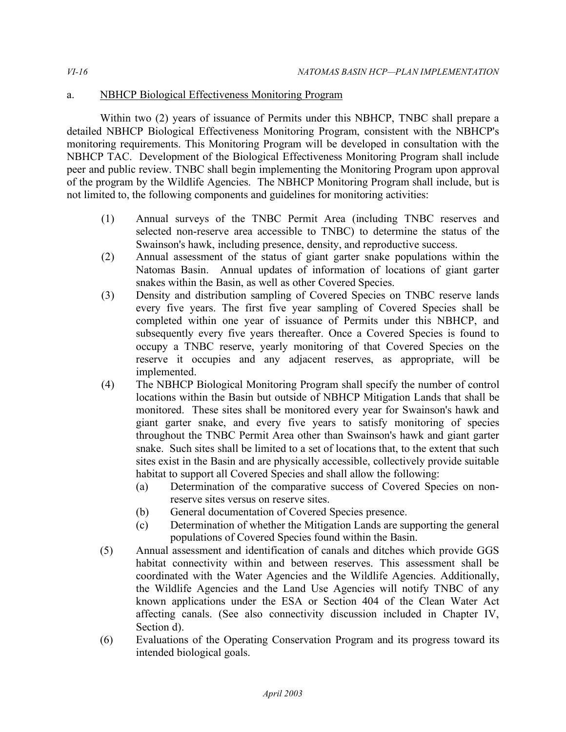# a. NBHCP Biological Effectiveness Monitoring Program

 Within two (2) years of issuance of Permits under this NBHCP, TNBC shall prepare a detailed NBHCP Biological Effectiveness Monitoring Program, consistent with the NBHCP's monitoring requirements. This Monitoring Program will be developed in consultation with the NBHCP TAC. Development of the Biological Effectiveness Monitoring Program shall include peer and public review. TNBC shall begin implementing the Monitoring Program upon approval of the program by the Wildlife Agencies. The NBHCP Monitoring Program shall include, but is not limited to, the following components and guidelines for monitoring activities:

- (1) Annual surveys of the TNBC Permit Area (including TNBC reserves and selected non-reserve area accessible to TNBC) to determine the status of the Swainson's hawk, including presence, density, and reproductive success.
- (2) Annual assessment of the status of giant garter snake populations within the Natomas Basin. Annual updates of information of locations of giant garter snakes within the Basin, as well as other Covered Species.
- (3) Density and distribution sampling of Covered Species on TNBC reserve lands every five years. The first five year sampling of Covered Species shall be completed within one year of issuance of Permits under this NBHCP, and subsequently every five years thereafter. Once a Covered Species is found to occupy a TNBC reserve, yearly monitoring of that Covered Species on the reserve it occupies and any adjacent reserves, as appropriate, will be implemented.
- (4) The NBHCP Biological Monitoring Program shall specify the number of control locations within the Basin but outside of NBHCP Mitigation Lands that shall be monitored. These sites shall be monitored every year for Swainson's hawk and giant garter snake, and every five years to satisfy monitoring of species throughout the TNBC Permit Area other than Swainson's hawk and giant garter snake. Such sites shall be limited to a set of locations that, to the extent that such sites exist in the Basin and are physically accessible, collectively provide suitable habitat to support all Covered Species and shall allow the following:
	- (a) Determination of the comparative success of Covered Species on non-reserve sites versus on reserve sites.
	- (b) General documentation of Covered Species presence.
	- (c) Determination of whether the Mitigation Lands are supporting the general populations of Covered Species found within the Basin.
- (5) Annual assessment and identification of canals and ditches which provide GGS habitat connectivity within and between reserves. This assessment shall be coordinated with the Water Agencies and the Wildlife Agencies. Additionally, the Wildlife Agencies and the Land Use Agencies will notify TNBC of any known applications under the ESA or Section 404 of the Clean Water Act affecting canals. (See also connectivity discussion included in Chapter IV, Section d).
- (6) Evaluations of the Operating Conservation Program and its progress toward its intended biological goals.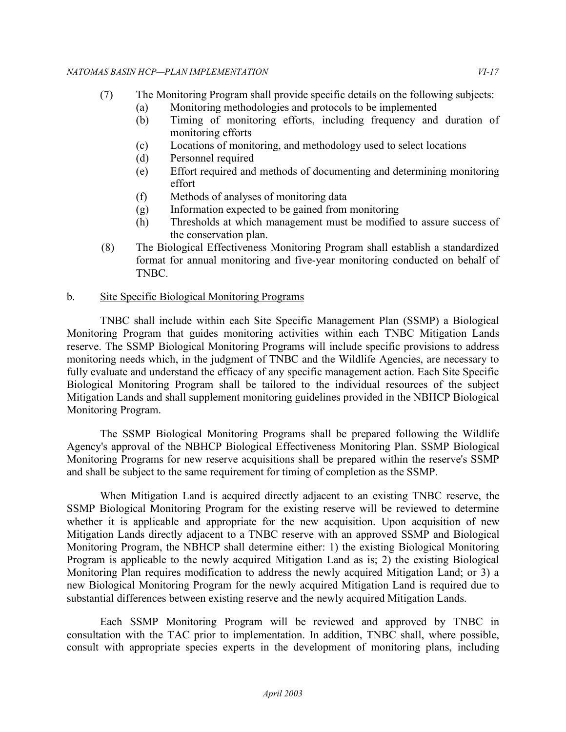#### *NATOMAS BASIN HCP—PLAN IMPLEMENTATION VI-17*

- (7) The Monitoring Program shall provide specific details on the following subjects:
	- (a) Monitoring methodologies and protocols to be implemented
	- (b) Timing of monitoring efforts, including frequency and duration of monitoring efforts
	- (c) Locations of monitoring, and methodology used to select locations
	- (d) Personnel required
	- (e) Effort required and methods of documenting and determining monitoring effort
	- (f) Methods of analyses of monitoring data
	- (g) Information expected to be gained from monitoring
	- (h) Thresholds at which management must be modified to assure success of the conservation plan.
- (8) The Biological Effectiveness Monitoring Program shall establish a standardized format for annual monitoring and five-year monitoring conducted on behalf of TNBC.

# b. Site Specific Biological Monitoring Programs

 TNBC shall include within each Site Specific Management Plan (SSMP) a Biological Monitoring Program that guides monitoring activities within each TNBC Mitigation Lands reserve. The SSMP Biological Monitoring Programs will include specific provisions to address monitoring needs which, in the judgment of TNBC and the Wildlife Agencies, are necessary to fully evaluate and understand the efficacy of any specific management action. Each Site Specific Biological Monitoring Program shall be tailored to the individual resources of the subject Mitigation Lands and shall supplement monitoring guidelines provided in the NBHCP Biological Monitoring Program.

 The SSMP Biological Monitoring Programs shall be prepared following the Wildlife Agency's approval of the NBHCP Biological Effectiveness Monitoring Plan. SSMP Biological Monitoring Programs for new reserve acquisitions shall be prepared within the reserve's SSMP and shall be subject to the same requirement for timing of completion as the SSMP.

 When Mitigation Land is acquired directly adjacent to an existing TNBC reserve, the SSMP Biological Monitoring Program for the existing reserve will be reviewed to determine whether it is applicable and appropriate for the new acquisition. Upon acquisition of new Mitigation Lands directly adjacent to a TNBC reserve with an approved SSMP and Biological Monitoring Program, the NBHCP shall determine either: 1) the existing Biological Monitoring Program is applicable to the newly acquired Mitigation Land as is; 2) the existing Biological Monitoring Plan requires modification to address the newly acquired Mitigation Land; or 3) a new Biological Monitoring Program for the newly acquired Mitigation Land is required due to substantial differences between existing reserve and the newly acquired Mitigation Lands.

 Each SSMP Monitoring Program will be reviewed and approved by TNBC in consultation with the TAC prior to implementation. In addition, TNBC shall, where possible, consult with appropriate species experts in the development of monitoring plans, including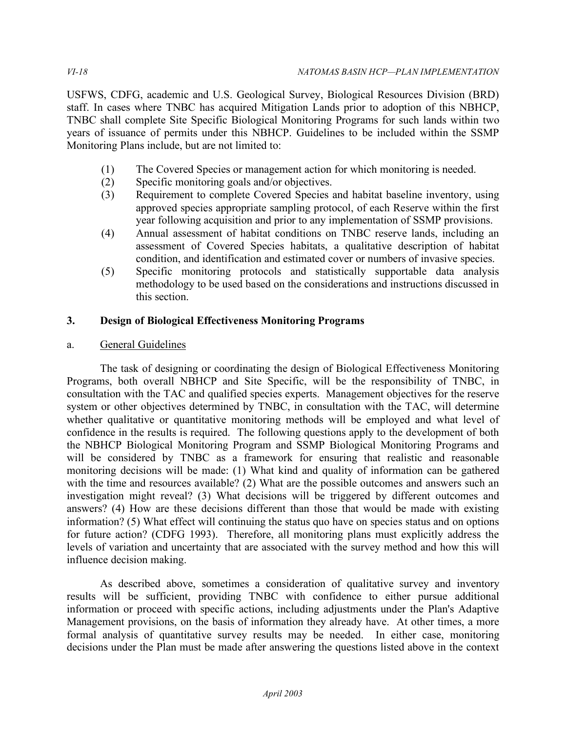USFWS, CDFG, academic and U.S. Geological Survey, Biological Resources Division (BRD) staff. In cases where TNBC has acquired Mitigation Lands prior to adoption of this NBHCP, TNBC shall complete Site Specific Biological Monitoring Programs for such lands within two years of issuance of permits under this NBHCP. Guidelines to be included within the SSMP Monitoring Plans include, but are not limited to:

- (1) The Covered Species or management action for which monitoring is needed.
- (2) Specific monitoring goals and/or objectives.
- (3) Requirement to complete Covered Species and habitat baseline inventory, using approved species appropriate sampling protocol, of each Reserve within the first year following acquisition and prior to any implementation of SSMP provisions.
- (4) Annual assessment of habitat conditions on TNBC reserve lands, including an assessment of Covered Species habitats, a qualitative description of habitat condition, and identification and estimated cover or numbers of invasive species.
- (5) Specific monitoring protocols and statistically supportable data analysis methodology to be used based on the considerations and instructions discussed in this section.

# **3. Design of Biological Effectiveness Monitoring Programs**

a. General Guidelines

 The task of designing or coordinating the design of Biological Effectiveness Monitoring Programs, both overall NBHCP and Site Specific, will be the responsibility of TNBC, in consultation with the TAC and qualified species experts. Management objectives for the reserve system or other objectives determined by TNBC, in consultation with the TAC, will determine whether qualitative or quantitative monitoring methods will be employed and what level of confidence in the results is required. The following questions apply to the development of both the NBHCP Biological Monitoring Program and SSMP Biological Monitoring Programs and will be considered by TNBC as a framework for ensuring that realistic and reasonable monitoring decisions will be made: (1) What kind and quality of information can be gathered with the time and resources available? (2) What are the possible outcomes and answers such an investigation might reveal? (3) What decisions will be triggered by different outcomes and answers? (4) How are these decisions different than those that would be made with existing information? (5) What effect will continuing the status quo have on species status and on options for future action? (CDFG 1993). Therefore, all monitoring plans must explicitly address the levels of variation and uncertainty that are associated with the survey method and how this will influence decision making.

 As described above, sometimes a consideration of qualitative survey and inventory results will be sufficient, providing TNBC with confidence to either pursue additional information or proceed with specific actions, including adjustments under the Plan's Adaptive Management provisions, on the basis of information they already have. At other times, a more formal analysis of quantitative survey results may be needed. In either case, monitoring decisions under the Plan must be made after answering the questions listed above in the context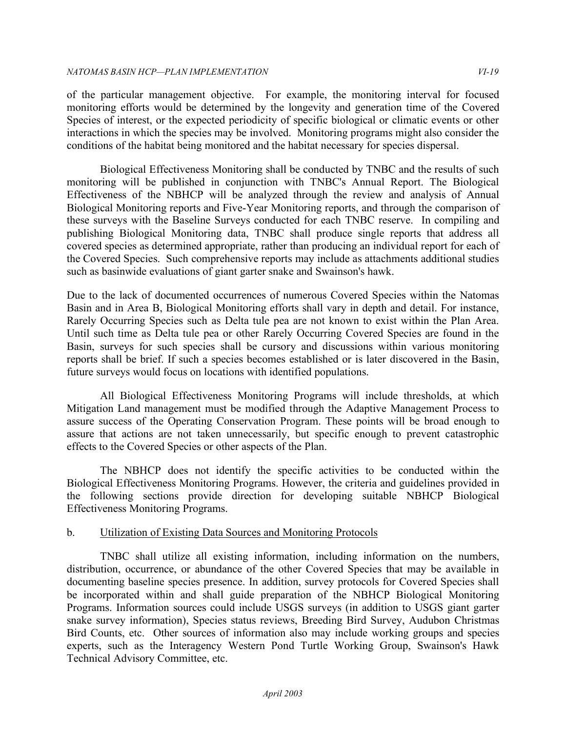of the particular management objective. For example, the monitoring interval for focused monitoring efforts would be determined by the longevity and generation time of the Covered Species of interest, or the expected periodicity of specific biological or climatic events or other interactions in which the species may be involved. Monitoring programs might also consider the conditions of the habitat being monitored and the habitat necessary for species dispersal.

 Biological Effectiveness Monitoring shall be conducted by TNBC and the results of such monitoring will be published in conjunction with TNBC's Annual Report. The Biological Effectiveness of the NBHCP will be analyzed through the review and analysis of Annual these surveys with the Baseline Surveys conducted for each TNBC reserve. In compiling and publishing Biological Monitoring data, TNBC shall produce single reports that address all covered species as determined appropriate, rather than producing an individual report for each of the Covered Species. Such comprehensive reports may include as attachments additional studies such as basinwide evaluations of giant garter snake and Swainson's hawk. Biological Monitoring reports and Five-Year Monitoring reports, and through the comparison of

 Due to the lack of documented occurrences of numerous Covered Species within the Natomas Basin and in Area B, Biological Monitoring efforts shall vary in depth and detail. For instance, Rarely Occurring Species such as Delta tule pea are not known to exist within the Plan Area. Until such time as Delta tule pea or other Rarely Occurring Covered Species are found in the Basin, surveys for such species shall be cursory and discussions within various monitoring reports shall be brief. If such a species becomes established or is later discovered in the Basin, future surveys would focus on locations with identified populations.

 All Biological Effectiveness Monitoring Programs will include thresholds, at which Mitigation Land management must be modified through the Adaptive Management Process to assure success of the Operating Conservation Program. These points will be broad enough to assure that actions are not taken unnecessarily, but specific enough to prevent catastrophic effects to the Covered Species or other aspects of the Plan.

 The NBHCP does not identify the specific activities to be conducted within the Biological Effectiveness Monitoring Programs. However, the criteria and guidelines provided in the following sections provide direction for developing suitable NBHCP Biological Effectiveness Monitoring Programs.

# b. Utilization of Existing Data Sources and Monitoring Protocols

 TNBC shall utilize all existing information, including information on the numbers, distribution, occurrence, or abundance of the other Covered Species that may be available in documenting baseline species presence. In addition, survey protocols for Covered Species shall be incorporated within and shall guide preparation of the NBHCP Biological Monitoring Programs. Information sources could include USGS surveys (in addition to USGS giant garter snake survey information), Species status reviews, Breeding Bird Survey, Audubon Christmas Bird Counts, etc. Other sources of information also may include working groups and species experts, such as the Interagency Western Pond Turtle Working Group, Swainson's Hawk Technical Advisory Committee, etc.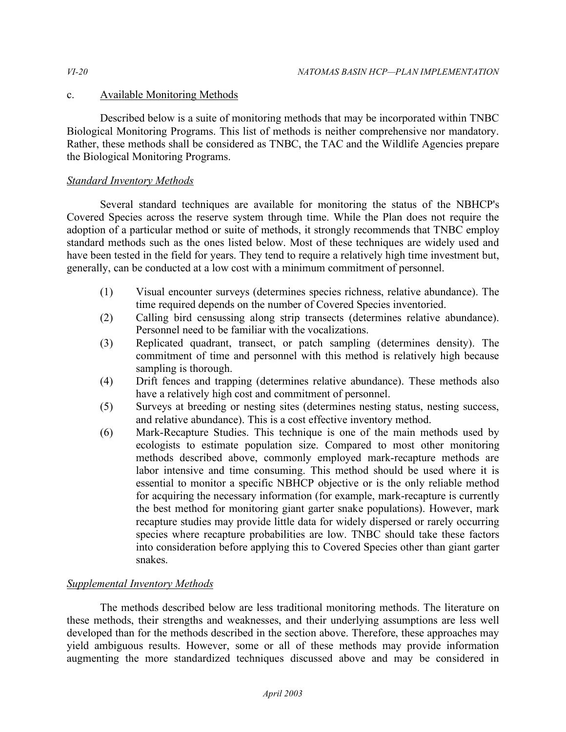# c. Available Monitoring Methods

 Described below is a suite of monitoring methods that may be incorporated within TNBC Biological Monitoring Programs. This list of methods is neither comprehensive nor mandatory. Rather, these methods shall be considered as TNBC, the TAC and the Wildlife Agencies prepare the Biological Monitoring Programs.

# *Standard Inventory Methods*

 Several standard techniques are available for monitoring the status of the NBHCP's Covered Species across the reserve system through time. While the Plan does not require the adoption of a particular method or suite of methods, it strongly recommends that TNBC employ standard methods such as the ones listed below. Most of these techniques are widely used and have been tested in the field for years. They tend to require a relatively high time investment but, generally, can be conducted at a low cost with a minimum commitment of personnel.

- (1) Visual encounter surveys (determines species richness, relative abundance). The time required depends on the number of Covered Species inventoried.
- (2) Calling bird censussing along strip transects (determines relative abundance). Personnel need to be familiar with the vocalizations.
- (3) Replicated quadrant, transect, or patch sampling (determines density). The commitment of time and personnel with this method is relatively high because sampling is thorough.
- (4) Drift fences and trapping (determines relative abundance). These methods also have a relatively high cost and commitment of personnel.
- (5) Surveys at breeding or nesting sites (determines nesting status, nesting success, and relative abundance). This is a cost effective inventory method.
- (6) Mark-Recapture Studies. This technique is one of the main methods used by ecologists to estimate population size. Compared to most other monitoring methods described above, commonly employed mark-recapture methods are labor intensive and time consuming. This method should be used where it is essential to monitor a specific NBHCP objective or is the only reliable method for acquiring the necessary information (for example, mark-recapture is currently the best method for monitoring giant garter snake populations). However, mark recapture studies may provide little data for widely dispersed or rarely occurring species where recapture probabilities are low. TNBC should take these factors into consideration before applying this to Covered Species other than giant garter snakes.

# *Supplemental Inventory Methods*

 The methods described below are less traditional monitoring methods. The literature on these methods, their strengths and weaknesses, and their underlying assumptions are less well developed than for the methods described in the section above. Therefore, these approaches may yield ambiguous results. However, some or all of these methods may provide information augmenting the more standardized techniques discussed above and may be considered in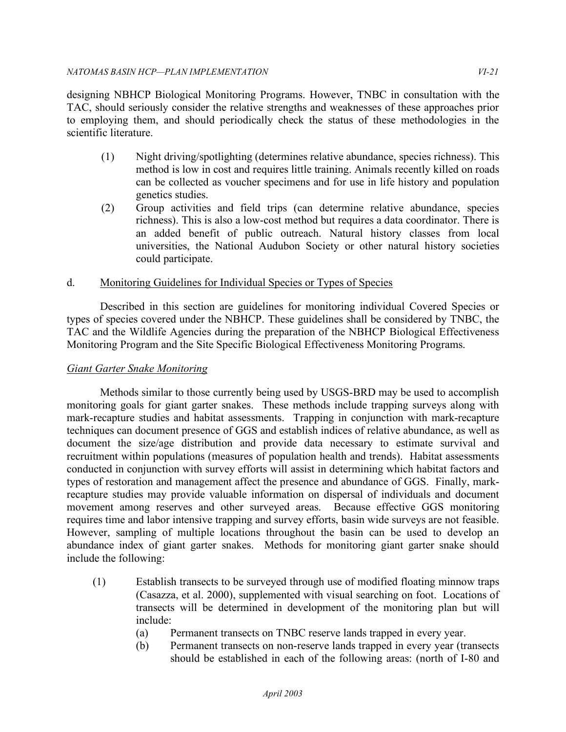designing NBHCP Biological Monitoring Programs. However, TNBC in consultation with the TAC, should seriously consider the relative strengths and weaknesses of these approaches prior to employing them, and should periodically check the status of these methodologies in the scientific literature.

- (1) Night driving/spotlighting (determines relative abundance, species richness). This method is low in cost and requires little training. Animals recently killed on roads can be collected as voucher specimens and for use in life history and population genetics studies.
- (2) Group activities and field trips (can determine relative abundance, species richness). This is also a low-cost method but requires a data coordinator. There is an added benefit of public outreach. Natural history classes from local universities, the National Audubon Society or other natural history societies could participate.

# d. Monitoring Guidelines for Individual Species or Types of Species

 Described in this section are guidelines for monitoring individual Covered Species or types of species covered under the NBHCP. These guidelines shall be considered by TNBC, the TAC and the Wildlife Agencies during the preparation of the NBHCP Biological Effectiveness Monitoring Program and the Site Specific Biological Effectiveness Monitoring Programs.

#### *Giant Garter Snake Monitoring*

 Methods similar to those currently being used by USGS-BRD may be used to accomplish monitoring goals for giant garter snakes. These methods include trapping surveys along with mark-recapture studies and habitat assessments. Trapping in conjunction with mark-recapture techniques can document presence of GGS and establish indices of relative abundance, as well as document the size/age distribution and provide data necessary to estimate survival and recruitment within populations (measures of population health and trends). Habitat assessments conducted in conjunction with survey efforts will assist in determining which habitat factors and types of restoration and management affect the presence and abundance of GGS. Finally, mark- recapture studies may provide valuable information on dispersal of individuals and document movement among reserves and other surveyed areas. Because effective GGS monitoring requires time and labor intensive trapping and survey efforts, basin wide surveys are not feasible. However, sampling of multiple locations throughout the basin can be used to develop an abundance index of giant garter snakes. Methods for monitoring giant garter snake should include the following:

- (1) Establish transects to be surveyed through use of modified floating minnow traps (Casazza, et al. 2000), supplemented with visual searching on foot. Locations of transects will be determined in development of the monitoring plan but will include:
	- (a) Permanent transects on TNBC reserve lands trapped in every year.
	- (b) Permanent transects on non-reserve lands trapped in every year (transects should be established in each of the following areas: (north of I-80 and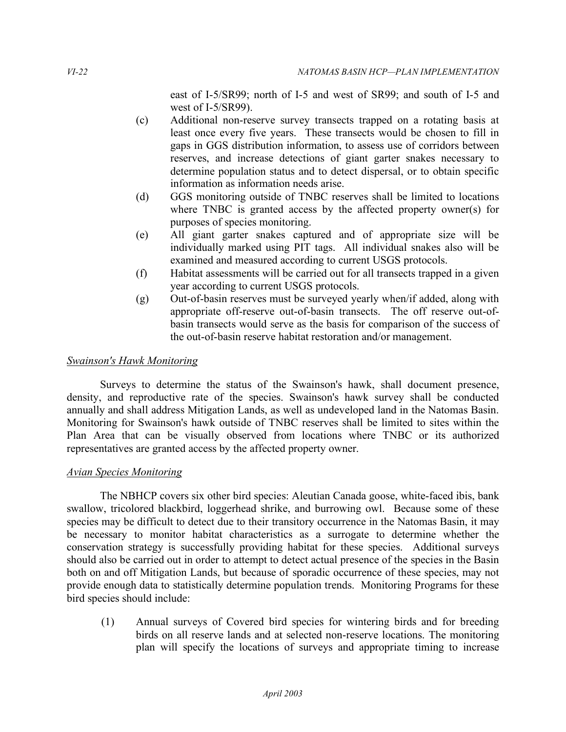east of I-5/SR99; north of I-5 and west of SR99; and south of I-5 and west of I-5/SR99).

- (c) Additional non-reserve survey transects trapped on a rotating basis at least once every five years. These transects would be chosen to fill in gaps in GGS distribution information, to assess use of corridors between reserves, and increase detections of giant garter snakes necessary to determine population status and to detect dispersal, or to obtain specific information as information needs arise.
- (d) GGS monitoring outside of TNBC reserves shall be limited to locations where TNBC is granted access by the affected property owner(s) for purposes of species monitoring.
- (e) All giant garter snakes captured and of appropriate size will be individually marked using PIT tags. All individual snakes also will be examined and measured according to current USGS protocols.
- (f) Habitat assessments will be carried out for all transects trapped in a given year according to current USGS protocols.
- (g) Out-of-basin reserves must be surveyed yearly when/if added, along with appropriate off-reserve out-of-basin transects. The off reserve out-of- basin transects would serve as the basis for comparison of the success of the out-of-basin reserve habitat restoration and/or management.

#### *Swainson's Hawk Monitoring*

 Surveys to determine the status of the Swainson's hawk, shall document presence, density, and reproductive rate of the species. Swainson's hawk survey shall be conducted annually and shall address Mitigation Lands, as well as undeveloped land in the Natomas Basin. Monitoring for Swainson's hawk outside of TNBC reserves shall be limited to sites within the Plan Area that can be visually observed from locations where TNBC or its authorized representatives are granted access by the affected property owner.

#### *Avian Species Monitoring*

 The NBHCP covers six other bird species: Aleutian Canada goose, white-faced ibis, bank swallow, tricolored blackbird, loggerhead shrike, and burrowing owl. Because some of these species may be difficult to detect due to their transitory occurrence in the Natomas Basin, it may be necessary to monitor habitat characteristics as a surrogate to determine whether the conservation strategy is successfully providing habitat for these species. Additional surveys should also be carried out in order to attempt to detect actual presence of the species in the Basin both on and off Mitigation Lands, but because of sporadic occurrence of these species, may not provide enough data to statistically determine population trends. Monitoring Programs for these bird species should include:

 (1) Annual surveys of Covered bird species for wintering birds and for breeding birds on all reserve lands and at selected non-reserve locations. The monitoring plan will specify the locations of surveys and appropriate timing to increase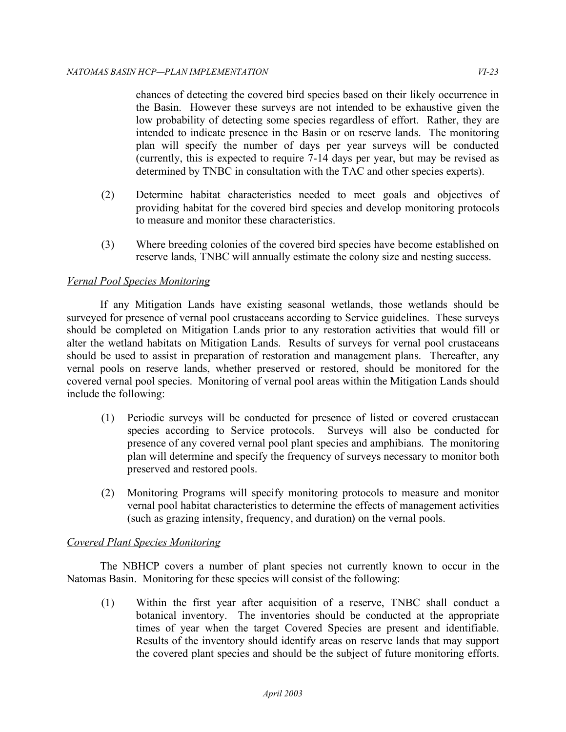chances of detecting the covered bird species based on their likely occurrence in the Basin. However these surveys are not intended to be exhaustive given the low probability of detecting some species regardless of effort. Rather, they are intended to indicate presence in the Basin or on reserve lands. The monitoring plan will specify the number of days per year surveys will be conducted (currently, this is expected to require 7-14 days per year, but may be revised as determined by TNBC in consultation with the TAC and other species experts).

- (2) Determine habitat characteristics needed to meet goals and objectives of providing habitat for the covered bird species and develop monitoring protocols to measure and monitor these characteristics.
- (3) Where breeding colonies of the covered bird species have become established on reserve lands, TNBC will annually estimate the colony size and nesting success.

# *Vernal Pool Species Monitoring*

 If any Mitigation Lands have existing seasonal wetlands, those wetlands should be surveyed for presence of vernal pool crustaceans according to Service guidelines. These surveys should be completed on Mitigation Lands prior to any restoration activities that would fill or alter the wetland habitats on Mitigation Lands. Results of surveys for vernal pool crustaceans should be used to assist in preparation of restoration and management plans. Thereafter, any vernal pools on reserve lands, whether preserved or restored, should be monitored for the covered vernal pool species. Monitoring of vernal pool areas within the Mitigation Lands should include the following:

- (1) Periodic surveys will be conducted for presence of listed or covered crustacean species according to Service protocols. Surveys will also be conducted for presence of any covered vernal pool plant species and amphibians. The monitoring plan will determine and specify the frequency of surveys necessary to monitor both preserved and restored pools.
- (2) Monitoring Programs will specify monitoring protocols to measure and monitor vernal pool habitat characteristics to determine the effects of management activities (such as grazing intensity, frequency, and duration) on the vernal pools.

#### *Covered Plant Species Monitoring*

 The NBHCP covers a number of plant species not currently known to occur in the Natomas Basin. Monitoring for these species will consist of the following:

 (1) Within the first year after acquisition of a reserve, TNBC shall conduct a botanical inventory. The inventories should be conducted at the appropriate times of year when the target Covered Species are present and identifiable. Results of the inventory should identify areas on reserve lands that may support the covered plant species and should be the subject of future monitoring efforts.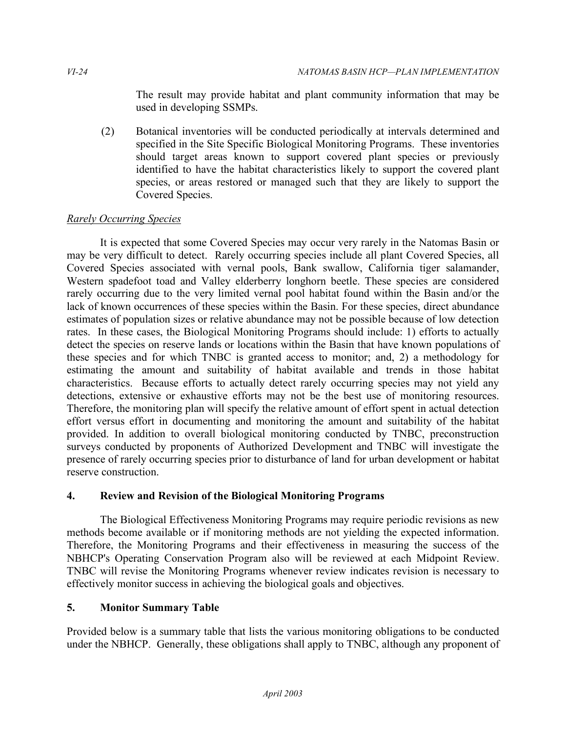The result may provide habitat and plant community information that may be used in developing SSMPs.

 (2) Botanical inventories will be conducted periodically at intervals determined and specified in the Site Specific Biological Monitoring Programs. These inventories should target areas known to support covered plant species or previously identified to have the habitat characteristics likely to support the covered plant species, or areas restored or managed such that they are likely to support the Covered Species.

#### *Rarely Occurring Species*

 It is expected that some Covered Species may occur very rarely in the Natomas Basin or may be very difficult to detect. Rarely occurring species include all plant Covered Species, all Covered Species associated with vernal pools, Bank swallow, California tiger salamander, Western spadefoot toad and Valley elderberry longhorn beetle. These species are considered rarely occurring due to the very limited vernal pool habitat found within the Basin and/or the lack of known occurrences of these species within the Basin. For these species, direct abundance estimates of population sizes or relative abundance may not be possible because of low detection rates. In these cases, the Biological Monitoring Programs should include: 1) efforts to actually detect the species on reserve lands or locations within the Basin that have known populations of these species and for which TNBC is granted access to monitor; and, 2) a methodology for estimating the amount and suitability of habitat available and trends in those habitat characteristics. Because efforts to actually detect rarely occurring species may not yield any detections, extensive or exhaustive efforts may not be the best use of monitoring resources. Therefore, the monitoring plan will specify the relative amount of effort spent in actual detection effort versus effort in documenting and monitoring the amount and suitability of the habitat provided. In addition to overall biological monitoring conducted by TNBC, preconstruction surveys conducted by proponents of Authorized Development and TNBC will investigate the presence of rarely occurring species prior to disturbance of land for urban development or habitat reserve construction.

#### **4. Review and Revision of the Biological Monitoring Programs**

 The Biological Effectiveness Monitoring Programs may require periodic revisions as new methods become available or if monitoring methods are not yielding the expected information. Therefore, the Monitoring Programs and their effectiveness in measuring the success of the NBHCP's Operating Conservation Program also will be reviewed at each Midpoint Review. TNBC will revise the Monitoring Programs whenever review indicates revision is necessary to effectively monitor success in achieving the biological goals and objectives.

#### **5. Monitor Summary Table**

 Provided below is a summary table that lists the various monitoring obligations to be conducted under the NBHCP. Generally, these obligations shall apply to TNBC, although any proponent of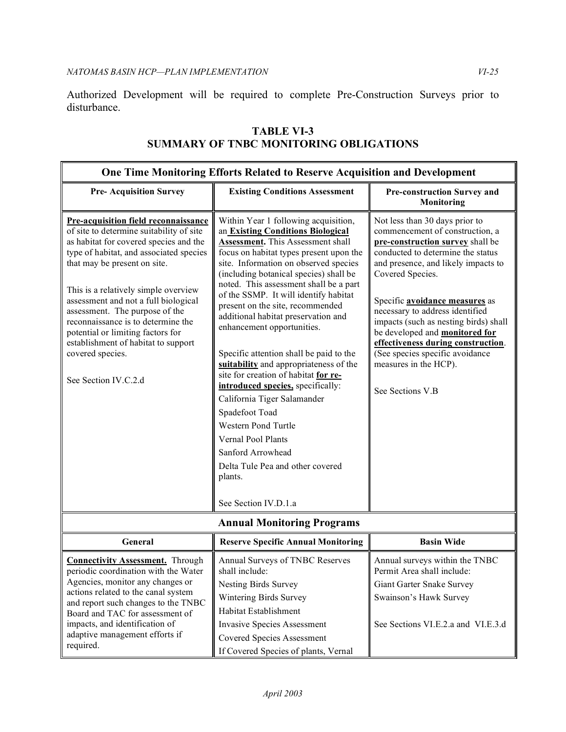Authorized Development will be required to complete Pre-Construction Surveys prior to disturbance.

| One Time Monitoring Efforts Related to Reserve Acquisition and Development                                                                                                                                                                                                                                                                                                                                                                                                            |                                                                                                                                                                                                                                                                                                                                                                                                                                                                                                                                                                                                                                                                                                                                                                                                      |                                                                                                                                                                                                                                                                                                                                                                                                                                                                                           |  |
|---------------------------------------------------------------------------------------------------------------------------------------------------------------------------------------------------------------------------------------------------------------------------------------------------------------------------------------------------------------------------------------------------------------------------------------------------------------------------------------|------------------------------------------------------------------------------------------------------------------------------------------------------------------------------------------------------------------------------------------------------------------------------------------------------------------------------------------------------------------------------------------------------------------------------------------------------------------------------------------------------------------------------------------------------------------------------------------------------------------------------------------------------------------------------------------------------------------------------------------------------------------------------------------------------|-------------------------------------------------------------------------------------------------------------------------------------------------------------------------------------------------------------------------------------------------------------------------------------------------------------------------------------------------------------------------------------------------------------------------------------------------------------------------------------------|--|
| <b>Pre-Acquisition Survey</b>                                                                                                                                                                                                                                                                                                                                                                                                                                                         | <b>Existing Conditions Assessment</b>                                                                                                                                                                                                                                                                                                                                                                                                                                                                                                                                                                                                                                                                                                                                                                | <b>Pre-construction Survey and</b><br><b>Monitoring</b>                                                                                                                                                                                                                                                                                                                                                                                                                                   |  |
| Pre-acquisition field reconnaissance<br>of site to determine suitability of site<br>as habitat for covered species and the<br>type of habitat, and associated species<br>that may be present on site.<br>This is a relatively simple overview<br>assessment and not a full biological<br>assessment. The purpose of the<br>reconnaissance is to determine the<br>potential or limiting factors for<br>establishment of habitat to support<br>covered species.<br>See Section IV.C.2.d | Within Year 1 following acquisition,<br>an Existing Conditions Biological<br>Assessment. This Assessment shall<br>focus on habitat types present upon the<br>site. Information on observed species<br>(including botanical species) shall be<br>noted. This assessment shall be a part<br>of the SSMP. It will identify habitat<br>present on the site, recommended<br>additional habitat preservation and<br>enhancement opportunities.<br>Specific attention shall be paid to the<br>suitability and appropriateness of the<br>site for creation of habitat for re-<br>introduced species, specifically:<br>California Tiger Salamander<br>Spadefoot Toad<br>Western Pond Turtle<br>Vernal Pool Plants<br>Sanford Arrowhead<br>Delta Tule Pea and other covered<br>plants.<br>See Section IV.D.1.a | Not less than 30 days prior to<br>commencement of construction, a<br>pre-construction survey shall be<br>conducted to determine the status<br>and presence, and likely impacts to<br>Covered Species.<br>Specific <b>avoidance measures</b> as<br>necessary to address identified<br>impacts (such as nesting birds) shall<br>be developed and <b>monitored</b> for<br>effectiveness during construction.<br>(See species specific avoidance<br>measures in the HCP).<br>See Sections V.B |  |
|                                                                                                                                                                                                                                                                                                                                                                                                                                                                                       | <b>Annual Monitoring Programs</b>                                                                                                                                                                                                                                                                                                                                                                                                                                                                                                                                                                                                                                                                                                                                                                    |                                                                                                                                                                                                                                                                                                                                                                                                                                                                                           |  |
| General                                                                                                                                                                                                                                                                                                                                                                                                                                                                               | <b>Reserve Specific Annual Monitoring</b>                                                                                                                                                                                                                                                                                                                                                                                                                                                                                                                                                                                                                                                                                                                                                            | <b>Basin Wide</b>                                                                                                                                                                                                                                                                                                                                                                                                                                                                         |  |
| <b>Connectivity Assessment.</b> Through<br>periodic coordination with the Water<br>Agencies, monitor any changes or<br>actions related to the canal system<br>and report such changes to the TNBC<br>Board and TAC for assessment of<br>impacts, and identification of<br>adaptive management efforts if<br>required.                                                                                                                                                                 | Annual Surveys of TNBC Reserves<br>shall include:<br>Nesting Birds Survey<br>Wintering Birds Survey<br>Habitat Establishment<br><b>Invasive Species Assessment</b><br><b>Covered Species Assessment</b><br>If Covered Species of plants, Vernal                                                                                                                                                                                                                                                                                                                                                                                                                                                                                                                                                      | Annual surveys within the TNBC<br>Permit Area shall include:<br>Giant Garter Snake Survey<br>Swainson's Hawk Survey<br>See Sections VI.E.2.a and VI.E.3.d                                                                                                                                                                                                                                                                                                                                 |  |

# **SUMMARY OF TNBC MONITORING OBLIGATIONS TABLE VI-3**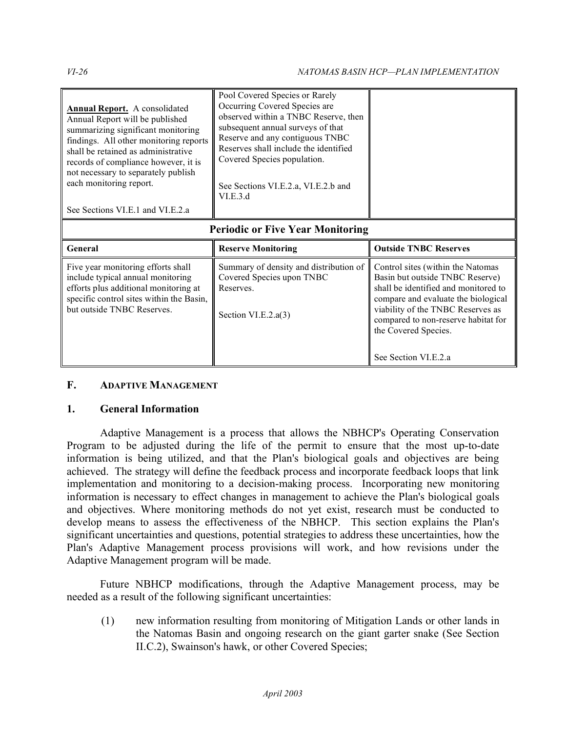| <b>Annual Report.</b> A consolidated<br>Annual Report will be published<br>summarizing significant monitoring<br>findings. All other monitoring reports<br>shall be retained as administrative<br>records of compliance however, it is<br>not necessary to separately publish<br>each monitoring report.<br>See Sections VI.E.1 and VI.E.2.a | Pool Covered Species or Rarely<br>Occurring Covered Species are<br>observed within a TNBC Reserve, then<br>subsequent annual surveys of that<br>Reserve and any contiguous TNBC<br>Reserves shall include the identified<br>Covered Species population.<br>See Sections VI.E.2.a, VI.E.2.b and<br>VI.E.3.d |                                                                                                                                                                                                                                                         |  |
|----------------------------------------------------------------------------------------------------------------------------------------------------------------------------------------------------------------------------------------------------------------------------------------------------------------------------------------------|------------------------------------------------------------------------------------------------------------------------------------------------------------------------------------------------------------------------------------------------------------------------------------------------------------|---------------------------------------------------------------------------------------------------------------------------------------------------------------------------------------------------------------------------------------------------------|--|
| <b>Periodic or Five Year Monitoring</b>                                                                                                                                                                                                                                                                                                      |                                                                                                                                                                                                                                                                                                            |                                                                                                                                                                                                                                                         |  |
| General                                                                                                                                                                                                                                                                                                                                      | <b>Reserve Monitoring</b>                                                                                                                                                                                                                                                                                  | <b>Outside TNBC Reserves</b>                                                                                                                                                                                                                            |  |
| Five year monitoring efforts shall<br>include typical annual monitoring<br>efforts plus additional monitoring at<br>specific control sites within the Basin,<br>but outside TNBC Reserves.                                                                                                                                                   | Summary of density and distribution of<br>Covered Species upon TNBC<br>Reserves.<br>Section VI.E.2. $a(3)$                                                                                                                                                                                                 | Control sites (within the Natomas<br>Basin but outside TNBC Reserve)<br>shall be identified and monitored to<br>compare and evaluate the biological<br>viability of the TNBC Reserves as<br>compared to non-reserve habitat for<br>the Covered Species. |  |

#### **F. ADAPTIVE MANAGEMENT**

#### **1. General Information**

 Adaptive Management is a process that allows the NBHCP's Operating Conservation Program to be adjusted during the life of the permit to ensure that the most up-to-date information is being utilized, and that the Plan's biological goals and objectives are being achieved. The strategy will define the feedback process and incorporate feedback loops that link implementation and monitoring to a decision-making process. Incorporating new monitoring information is necessary to effect changes in management to achieve the Plan's biological goals and objectives. Where monitoring methods do not yet exist, research must be conducted to develop means to assess the effectiveness of the NBHCP. This section explains the Plan's significant uncertainties and questions, potential strategies to address these uncertainties, how the Plan's Adaptive Management process provisions will work, and how revisions under the Adaptive Management program will be made.

 Future NBHCP modifications, through the Adaptive Management process, may be needed as a result of the following significant uncertainties:

 (1) new information resulting from monitoring of Mitigation Lands or other lands in the Natomas Basin and ongoing research on the giant garter snake (See Section II.C.2), Swainson's hawk, or other Covered Species;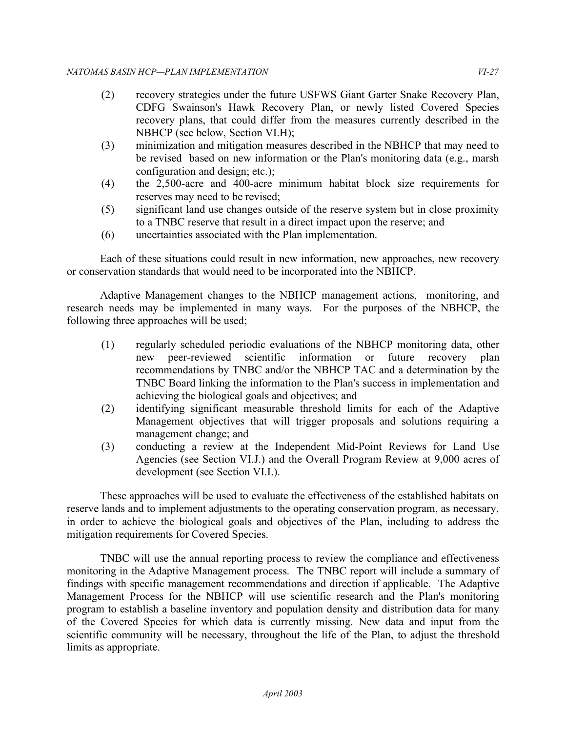- (2) recovery strategies under the future USFWS Giant Garter Snake Recovery Plan, CDFG Swainson's Hawk Recovery Plan, or newly listed Covered Species recovery plans, that could differ from the measures currently described in the NBHCP (see below, Section VI.H);
- (3) minimization and mitigation measures described in the NBHCP that may need to be revised based on new information or the Plan's monitoring data (e.g., marsh configuration and design; etc.);
- (4) the 2,500-acre and 400-acre minimum habitat block size requirements for reserves may need to be revised;
- (5) significant land use changes outside of the reserve system but in close proximity to a TNBC reserve that result in a direct impact upon the reserve; and
- uncertainties associated with the Plan implementation.

 (6) uncertainties associated with the Plan implementation. Each of these situations could result in new information, new approaches, new recovery or conservation standards that would need to be incorporated into the NBHCP.

 Adaptive Management changes to the NBHCP management actions, monitoring, and research needs may be implemented in many ways. For the purposes of the NBHCP, the following three approaches will be used;

- (1) regularly scheduled periodic evaluations of the NBHCP monitoring data, other new peer-reviewed scientific information or future recovery plan recommendations by TNBC and/or the NBHCP TAC and a determination by the TNBC Board linking the information to the Plan's success in implementation and achieving the biological goals and objectives; and
- (2) identifying significant measurable threshold limits for each of the Adaptive Management objectives that will trigger proposals and solutions requiring a management change; and
- (3) conducting a review at the Independent Mid-Point Reviews for Land Use Agencies (see Section VI.J.) and the Overall Program Review at 9,000 acres of development (see Section VI.I.).

 These approaches will be used to evaluate the effectiveness of the established habitats on reserve lands and to implement adjustments to the operating conservation program, as necessary, in order to achieve the biological goals and objectives of the Plan, including to address the mitigation requirements for Covered Species.

 TNBC will use the annual reporting process to review the compliance and effectiveness monitoring in the Adaptive Management process. The TNBC report will include a summary of findings with specific management recommendations and direction if applicable. The Adaptive Management Process for the NBHCP will use scientific research and the Plan's monitoring program to establish a baseline inventory and population density and distribution data for many of the Covered Species for which data is currently missing. New data and input from the scientific community will be necessary, throughout the life of the Plan, to adjust the threshold limits as appropriate.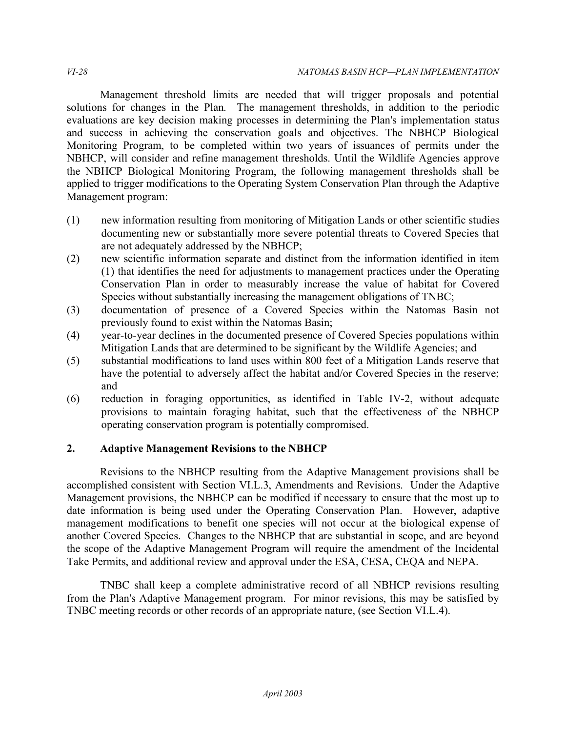Management threshold limits are needed that will trigger proposals and potential solutions for changes in the Plan. The management thresholds, in addition to the periodic evaluations are key decision making processes in determining the Plan's implementation status and success in achieving the conservation goals and objectives. The NBHCP Biological Monitoring Program, to be completed within two years of issuances of permits under the NBHCP, will consider and refine management thresholds. Until the Wildlife Agencies approve the NBHCP Biological Monitoring Program, the following management thresholds shall be applied to trigger modifications to the Operating System Conservation Plan through the Adaptive Management program:

- (1) new information resulting from monitoring of Mitigation Lands or other scientific studies documenting new or substantially more severe potential threats to Covered Species that are not adequately addressed by the NBHCP;
- (2) new scientific information separate and distinct from the information identified in item (1) that identifies the need for adjustments to management practices under the Operating Conservation Plan in order to measurably increase the value of habitat for Covered Species without substantially increasing the management obligations of TNBC;
- (3) documentation of presence of a Covered Species within the Natomas Basin not previously found to exist within the Natomas Basin;
- (4) year-to-year declines in the documented presence of Covered Species populations within Mitigation Lands that are determined to be significant by the Wildlife Agencies; and
- (5) substantial modifications to land uses within 800 feet of a Mitigation Lands reserve that have the potential to adversely affect the habitat and/or Covered Species in the reserve; and
- (6) reduction in foraging opportunities, as identified in Table IV-2, without adequate provisions to maintain foraging habitat, such that the effectiveness of the NBHCP operating conservation program is potentially compromised.

# **2. Adaptive Management Revisions to the NBHCP**

 Revisions to the NBHCP resulting from the Adaptive Management provisions shall be accomplished consistent with Section VI.L.3, Amendments and Revisions. Under the Adaptive Management provisions, the NBHCP can be modified if necessary to ensure that the most up to date information is being used under the Operating Conservation Plan. However, adaptive management modifications to benefit one species will not occur at the biological expense of another Covered Species. Changes to the NBHCP that are substantial in scope, and are beyond the scope of the Adaptive Management Program will require the amendment of the Incidental Take Permits, and additional review and approval under the ESA, CESA, CEQA and NEPA.

 TNBC shall keep a complete administrative record of all NBHCP revisions resulting from the Plan's Adaptive Management program. For minor revisions, this may be satisfied by TNBC meeting records or other records of an appropriate nature, (see Section VI.L.4).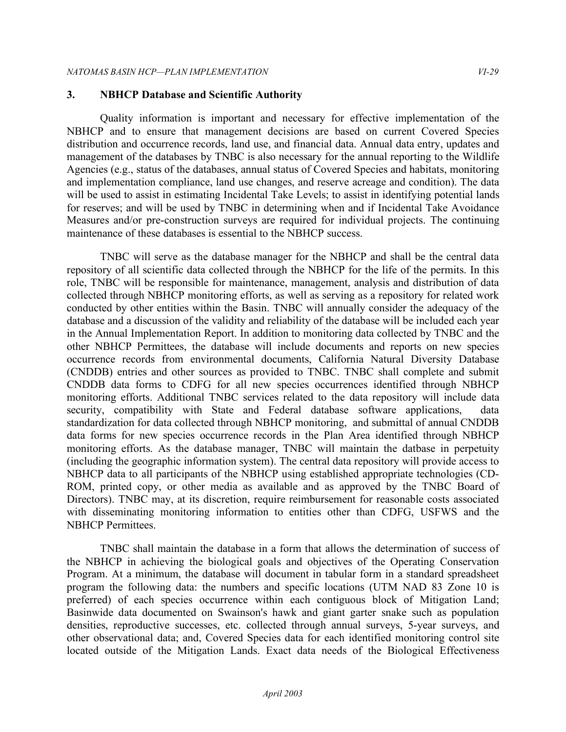#### **3. NBHCP Database and Scientific Authority**

 Quality information is important and necessary for effective implementation of the NBHCP and to ensure that management decisions are based on current Covered Species distribution and occurrence records, land use, and financial data. Annual data entry, updates and management of the databases by TNBC is also necessary for the annual reporting to the Wildlife Agencies (e.g., status of the databases, annual status of Covered Species and habitats, monitoring and implementation compliance, land use changes, and reserve acreage and condition). The data will be used to assist in estimating Incidental Take Levels; to assist in identifying potential lands for reserves; and will be used by TNBC in determining when and if Incidental Take Avoidance Measures and/or pre-construction surveys are required for individual projects. The continuing maintenance of these databases is essential to the NBHCP success.

 TNBC will serve as the database manager for the NBHCP and shall be the central data repository of all scientific data collected through the NBHCP for the life of the permits. In this role, TNBC will be responsible for maintenance, management, analysis and distribution of data collected through NBHCP monitoring efforts, as well as serving as a repository for related work conducted by other entities within the Basin. TNBC will annually consider the adequacy of the database and a discussion of the validity and reliability of the database will be included each year in the Annual Implementation Report. In addition to monitoring data collected by TNBC and the other NBHCP Permittees, the database will include documents and reports on new species occurrence records from environmental documents, California Natural Diversity Database (CNDDB) entries and other sources as provided to TNBC. TNBC shall complete and submit CNDDB data forms to CDFG for all new species occurrences identified through NBHCP monitoring efforts. Additional TNBC services related to the data repository will include data security, compatibility with State and Federal database software applications, data standardization for data collected through NBHCP monitoring, and submittal of annual CNDDB data forms for new species occurrence records in the Plan Area identified through NBHCP monitoring efforts. As the database manager, TNBC will maintain the datbase in perpetuity (including the geographic information system). The central data repository will provide access to NBHCP data to all participants of the NBHCP using established appropriate technologies (CD- ROM, printed copy, or other media as available and as approved by the TNBC Board of Directors). TNBC may, at its discretion, require reimbursement for reasonable costs associated with disseminating monitoring information to entities other than CDFG, USFWS and the NBHCP Permittees.

 TNBC shall maintain the database in a form that allows the determination of success of the NBHCP in achieving the biological goals and objectives of the Operating Conservation Program. At a minimum, the database will document in tabular form in a standard spreadsheet program the following data: the numbers and specific locations (UTM NAD 83 Zone 10 is preferred) of each species occurrence within each contiguous block of Mitigation Land; Basinwide data documented on Swainson's hawk and giant garter snake such as population densities, reproductive successes, etc. collected through annual surveys, 5-year surveys, and other observational data; and, Covered Species data for each identified monitoring control site located outside of the Mitigation Lands. Exact data needs of the Biological Effectiveness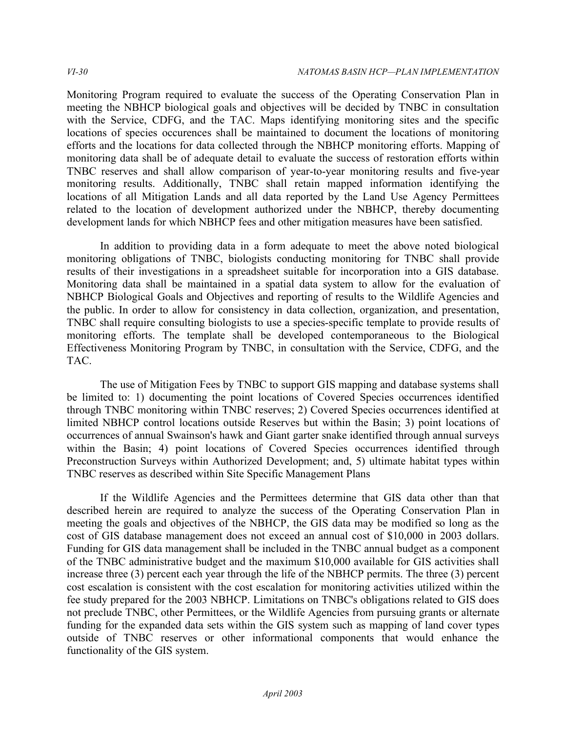Monitoring Program required to evaluate the success of the Operating Conservation Plan in meeting the NBHCP biological goals and objectives will be decided by TNBC in consultation with the Service, CDFG, and the TAC. Maps identifying monitoring sites and the specific locations of species occurences shall be maintained to document the locations of monitoring efforts and the locations for data collected through the NBHCP monitoring efforts. Mapping of monitoring data shall be of adequate detail to evaluate the success of restoration efforts within TNBC reserves and shall allow comparison of year-to-year monitoring results and five-year monitoring results. Additionally, TNBC shall retain mapped information identifying the locations of all Mitigation Lands and all data reported by the Land Use Agency Permittees related to the location of development authorized under the NBHCP, thereby documenting development lands for which NBHCP fees and other mitigation measures have been satisfied.

 In addition to providing data in a form adequate to meet the above noted biological monitoring obligations of TNBC, biologists conducting monitoring for TNBC shall provide results of their investigations in a spreadsheet suitable for incorporation into a GIS database. Monitoring data shall be maintained in a spatial data system to allow for the evaluation of NBHCP Biological Goals and Objectives and reporting of results to the Wildlife Agencies and the public. In order to allow for consistency in data collection, organization, and presentation, TNBC shall require consulting biologists to use a species-specific template to provide results of monitoring efforts. The template shall be developed contemporaneous to the Biological Effectiveness Monitoring Program by TNBC, in consultation with the Service, CDFG, and the TAC.

 The use of Mitigation Fees by TNBC to support GIS mapping and database systems shall be limited to: 1) documenting the point locations of Covered Species occurrences identified through TNBC monitoring within TNBC reserves; 2) Covered Species occurrences identified at limited NBHCP control locations outside Reserves but within the Basin; 3) point locations of occurrences of annual Swainson's hawk and Giant garter snake identified through annual surveys within the Basin; 4) point locations of Covered Species occurrences identified through Preconstruction Surveys within Authorized Development; and, 5) ultimate habitat types within TNBC reserves as described within Site Specific Management Plans

 If the Wildlife Agencies and the Permittees determine that GIS data other than that described herein are required to analyze the success of the Operating Conservation Plan in meeting the goals and objectives of the NBHCP, the GIS data may be modified so long as the cost of GIS database management does not exceed an annual cost of \$10,000 in 2003 dollars. Funding for GIS data management shall be included in the TNBC annual budget as a component of the TNBC administrative budget and the maximum \$10,000 available for GIS activities shall increase three (3) percent each year through the life of the NBHCP permits. The three (3) percent cost escalation is consistent with the cost escalation for monitoring activities utilized within the fee study prepared for the 2003 NBHCP. Limitations on TNBC's obligations related to GIS does not preclude TNBC, other Permittees, or the Wildlife Agencies from pursuing grants or alternate funding for the expanded data sets within the GIS system such as mapping of land cover types outside of TNBC reserves or other informational components that would enhance the functionality of the GIS system.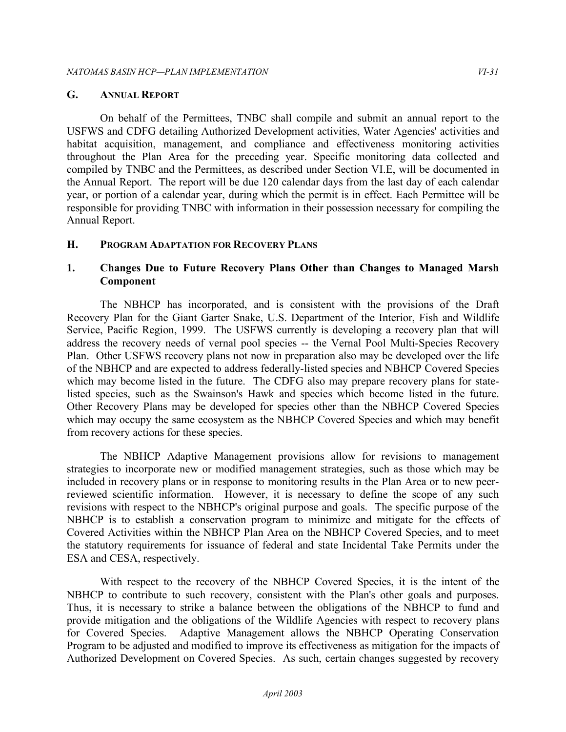#### **G. ANNUAL REPORT**

 On behalf of the Permittees, TNBC shall compile and submit an annual report to the USFWS and CDFG detailing Authorized Development activities, Water Agencies' activities and habitat acquisition, management, and compliance and effectiveness monitoring activities throughout the Plan Area for the preceding year. Specific monitoring data collected and compiled by TNBC and the Permittees, as described under Section VI.E, will be documented in the Annual Report. The report will be due 120 calendar days from the last day of each calendar year, or portion of a calendar year, during which the permit is in effect. Each Permittee will be responsible for providing TNBC with information in their possession necessary for compiling the Annual Report.

#### **H. PROGRAM ADAPTATION FOR RECOVERY PLANS**

#### **1. Changes Due to Future Recovery Plans Other than Changes to Managed Marsh Component**

 The NBHCP has incorporated, and is consistent with the provisions of the Draft Recovery Plan for the Giant Garter Snake, U.S. Department of the Interior, Fish and Wildlife Service, Pacific Region, 1999. The USFWS currently is developing a recovery plan that will address the recovery needs of vernal pool species -- the Vernal Pool Multi-Species Recovery Plan. Other USFWS recovery plans not now in preparation also may be developed over the life of the NBHCP and are expected to address federally-listed species and NBHCP Covered Species which may become listed in the future. The CDFG also may prepare recovery plans for state- listed species, such as the Swainson's Hawk and species which become listed in the future. Other Recovery Plans may be developed for species other than the NBHCP Covered Species which may occupy the same ecosystem as the NBHCP Covered Species and which may benefit from recovery actions for these species.

 The NBHCP Adaptive Management provisions allow for revisions to management strategies to incorporate new or modified management strategies, such as those which may be included in recovery plans or in response to monitoring results in the Plan Area or to new peer- reviewed scientific information. However, it is necessary to define the scope of any such revisions with respect to the NBHCP's original purpose and goals. The specific purpose of the NBHCP is to establish a conservation program to minimize and mitigate for the effects of Covered Activities within the NBHCP Plan Area on the NBHCP Covered Species, and to meet the statutory requirements for issuance of federal and state Incidental Take Permits under the ESA and CESA, respectively.

 With respect to the recovery of the NBHCP Covered Species, it is the intent of the NBHCP to contribute to such recovery, consistent with the Plan's other goals and purposes. Thus, it is necessary to strike a balance between the obligations of the NBHCP to fund and provide mitigation and the obligations of the Wildlife Agencies with respect to recovery plans for Covered Species. Adaptive Management allows the NBHCP Operating Conservation Program to be adjusted and modified to improve its effectiveness as mitigation for the impacts of Authorized Development on Covered Species. As such, certain changes suggested by recovery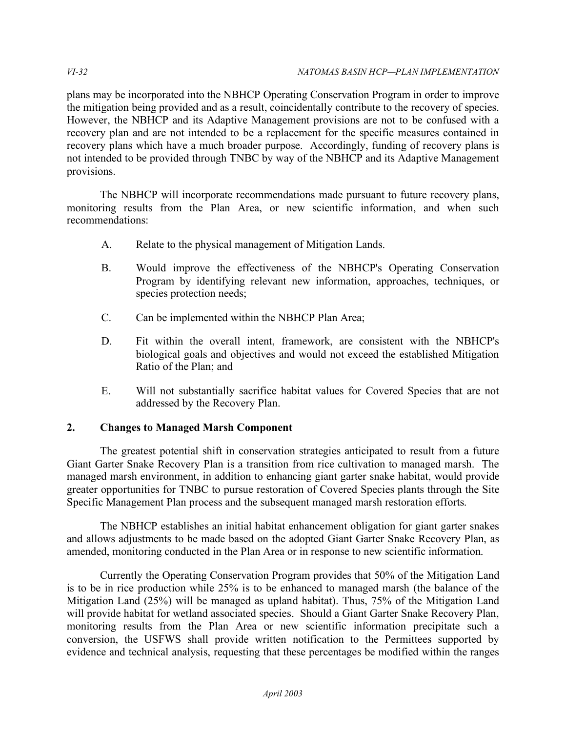plans may be incorporated into the NBHCP Operating Conservation Program in order to improve the mitigation being provided and as a result, coincidentally contribute to the recovery of species. However, the NBHCP and its Adaptive Management provisions are not to be confused with a recovery plan and are not intended to be a replacement for the specific measures contained in recovery plans which have a much broader purpose. Accordingly, funding of recovery plans is not intended to be provided through TNBC by way of the NBHCP and its Adaptive Management provisions.

 The NBHCP will incorporate recommendations made pursuant to future recovery plans, monitoring results from the Plan Area, or new scientific information, and when such recommendations:

- A. Relate to the physical management of Mitigation Lands.
- B. Would improve the effectiveness of the NBHCP's Operating Conservation Program by identifying relevant new information, approaches, techniques, or species protection needs;
- C. Can be implemented within the NBHCP Plan Area;
- D. Fit within the overall intent, framework, are consistent with the NBHCP's biological goals and objectives and would not exceed the established Mitigation Ratio of the Plan; and
- E. Will not substantially sacrifice habitat values for Covered Species that are not addressed by the Recovery Plan.

# **2. Changes to Managed Marsh Component**

 The greatest potential shift in conservation strategies anticipated to result from a future Giant Garter Snake Recovery Plan is a transition from rice cultivation to managed marsh. The managed marsh environment, in addition to enhancing giant garter snake habitat, would provide greater opportunities for TNBC to pursue restoration of Covered Species plants through the Site Specific Management Plan process and the subsequent managed marsh restoration efforts.

 The NBHCP establishes an initial habitat enhancement obligation for giant garter snakes and allows adjustments to be made based on the adopted Giant Garter Snake Recovery Plan, as amended, monitoring conducted in the Plan Area or in response to new scientific information.

 Currently the Operating Conservation Program provides that 50% of the Mitigation Land is to be in rice production while 25% is to be enhanced to managed marsh (the balance of the Mitigation Land (25%) will be managed as upland habitat). Thus, 75% of the Mitigation Land will provide habitat for wetland associated species. Should a Giant Garter Snake Recovery Plan, monitoring results from the Plan Area or new scientific information precipitate such a conversion, the USFWS shall provide written notification to the Permittees supported by evidence and technical analysis, requesting that these percentages be modified within the ranges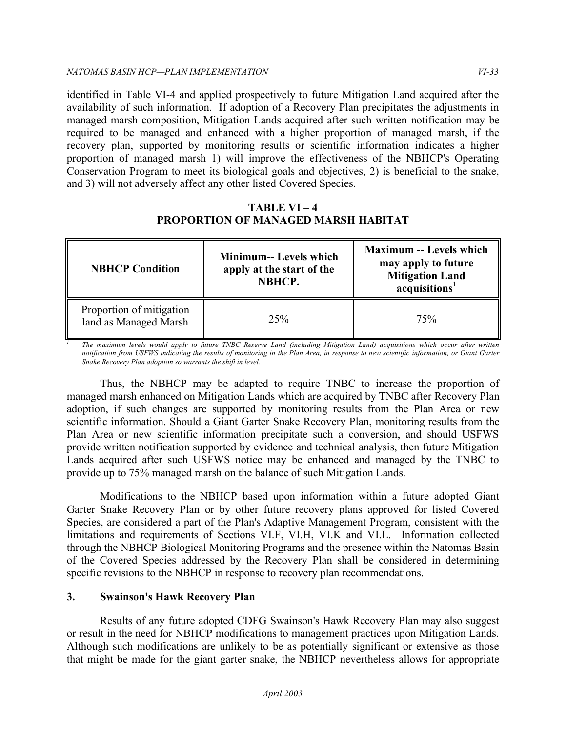identified in Table VI-4 and applied prospectively to future Mitigation Land acquired after the availability of such information. If adoption of a Recovery Plan precipitates the adjustments in required to be managed and enhanced with a higher proportion of managed marsh, if the recovery plan, supported by monitoring results or scientific information indicates a higher proportion of managed marsh 1) will improve the effectiveness of the NBHCP's Operating Conservation Program to meet its biological goals and objectives, 2) is beneficial to the snake, and 3) will not adversely affect any other listed Covered Species. managed marsh composition, Mitigation Lands acquired after such written notification may be

| <b>TABLE VI</b> $-4$                       |  |  |
|--------------------------------------------|--|--|
| <b>PROPORTION OF MANAGED MARSH HABITAT</b> |  |  |

| <b>NBHCP Condition</b>                            | <b>Minimum-- Levels which</b><br>apply at the start of the<br>NBHCP. | <b>Maximum -- Levels which</b><br>may apply to future<br><b>Mitigation Land</b><br>acquisitions <sup>1</sup> |
|---------------------------------------------------|----------------------------------------------------------------------|--------------------------------------------------------------------------------------------------------------|
| Proportion of mitigation<br>land as Managed Marsh | 25%                                                                  | 75%                                                                                                          |

<sup>1</sup> The maximum levels would apply to future TNBC Reserve Land (including Mitigation Land) acquisitions which occur after written  *notification from USFWS indicating the results of monitoring in the Plan Area, in response to new scientific information, or Giant Garter Snake Recovery Plan adoption so warrants the shift in level.* 

 Thus, the NBHCP may be adapted to require TNBC to increase the proportion of managed marsh enhanced on Mitigation Lands which are acquired by TNBC after Recovery Plan adoption, if such changes are supported by monitoring results from the Plan Area or new scientific information. Should a Giant Garter Snake Recovery Plan, monitoring results from the Plan Area or new scientific information precipitate such a conversion, and should USFWS provide written notification supported by evidence and technical analysis, then future Mitigation Lands acquired after such USFWS notice may be enhanced and managed by the TNBC to provide up to 75% managed marsh on the balance of such Mitigation Lands.

 Modifications to the NBHCP based upon information within a future adopted Giant Garter Snake Recovery Plan or by other future recovery plans approved for listed Covered Species, are considered a part of the Plan's Adaptive Management Program, consistent with the limitations and requirements of Sections VI.F, VI.H, VI.K and VI.L. Information collected through the NBHCP Biological Monitoring Programs and the presence within the Natomas Basin of the Covered Species addressed by the Recovery Plan shall be considered in determining specific revisions to the NBHCP in response to recovery plan recommendations.

# **3. Swainson's Hawk Recovery Plan**

 Results of any future adopted CDFG Swainson's Hawk Recovery Plan may also suggest or result in the need for NBHCP modifications to management practices upon Mitigation Lands. Although such modifications are unlikely to be as potentially significant or extensive as those that might be made for the giant garter snake, the NBHCP nevertheless allows for appropriate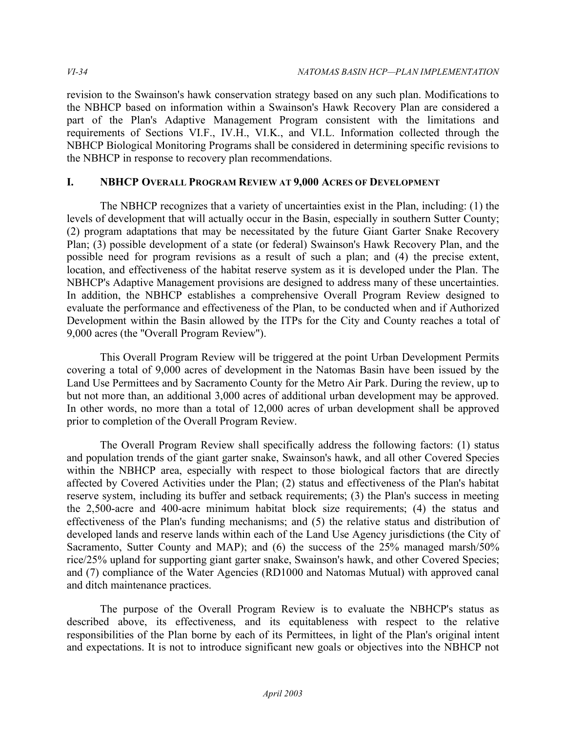revision to the Swainson's hawk conservation strategy based on any such plan. Modifications to the NBHCP based on information within a Swainson's Hawk Recovery Plan are considered a part of the Plan's Adaptive Management Program consistent with the limitations and requirements of Sections VI.F., IV.H., VI.K., and VI.L. Information collected through the NBHCP Biological Monitoring Programs shall be considered in determining specific revisions to the NBHCP in response to recovery plan recommendations.

# **I. NBHCP OVERALL PROGRAM REVIEW AT 9,000 ACRES OF DEVELOPMENT**

The NBHCP recognizes that a variety of uncertainties exist in the Plan, including: (1) the levels of development that will actually occur in the Basin, especially in southern Sutter County; (2) program adaptations that may be necessitated by the future Giant Garter Snake Recovery Plan; (3) possible development of a state (or federal) Swainson's Hawk Recovery Plan, and the possible need for program revisions as a result of such a plan; and (4) the precise extent, location, and effectiveness of the habitat reserve system as it is developed under the Plan. The NBHCP's Adaptive Management provisions are designed to address many of these uncertainties. In addition, the NBHCP establishes a comprehensive Overall Program Review designed to evaluate the performance and effectiveness of the Plan, to be conducted when and if Authorized Development within the Basin allowed by the ITPs for the City and County reaches a total of 9,000 acres (the "Overall Program Review").

 This Overall Program Review will be triggered at the point Urban Development Permits covering a total of 9,000 acres of development in the Natomas Basin have been issued by the Land Use Permittees and by Sacramento County for the Metro Air Park. During the review, up to but not more than, an additional 3,000 acres of additional urban development may be approved. In other words, no more than a total of 12,000 acres of urban development shall be approved prior to completion of the Overall Program Review.

 The Overall Program Review shall specifically address the following factors: (1) status and population trends of the giant garter snake, Swainson's hawk, and all other Covered Species within the NBHCP area, especially with respect to those biological factors that are directly affected by Covered Activities under the Plan; (2) status and effectiveness of the Plan's habitat reserve system, including its buffer and setback requirements; (3) the Plan's success in meeting the 2,500-acre and 400-acre minimum habitat block size requirements; (4) the status and effectiveness of the Plan's funding mechanisms; and (5) the relative status and distribution of developed lands and reserve lands within each of the Land Use Agency jurisdictions (the City of Sacramento, Sutter County and MAP); and (6) the success of the 25% managed marsh/50% rice/25% upland for supporting giant garter snake, Swainson's hawk, and other Covered Species; and (7) compliance of the Water Agencies (RD1000 and Natomas Mutual) with approved canal and ditch maintenance practices.

 The purpose of the Overall Program Review is to evaluate the NBHCP's status as described above, its effectiveness, and its equitableness with respect to the relative responsibilities of the Plan borne by each of its Permittees, in light of the Plan's original intent and expectations. It is not to introduce significant new goals or objectives into the NBHCP not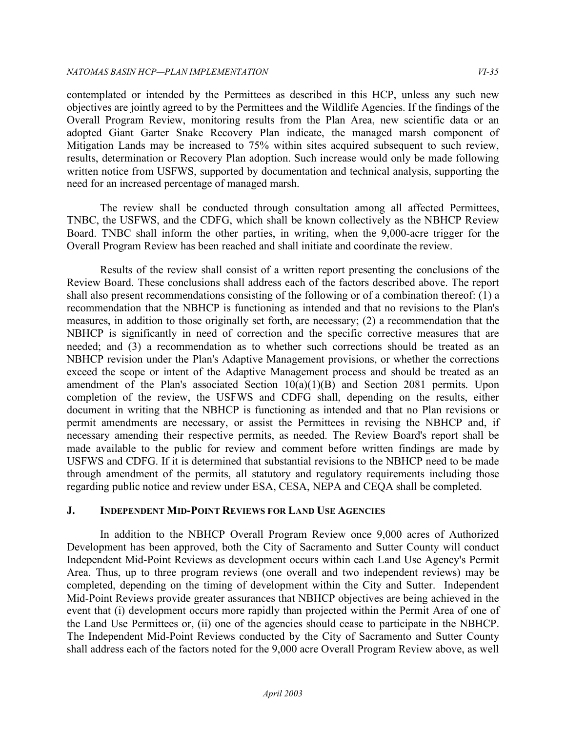#### *NATOMAS BASIN HCP—PLAN IMPLEMENTATION VI-35*

 contemplated or intended by the Permittees as described in this HCP, unless any such new objectives are jointly agreed to by the Permittees and the Wildlife Agencies. If the findings of the Overall Program Review, monitoring results from the Plan Area, new scientific data or an adopted Giant Garter Snake Recovery Plan indicate, the managed marsh component of Mitigation Lands may be increased to 75% within sites acquired subsequent to such review, results, determination or Recovery Plan adoption. Such increase would only be made following written notice from USFWS, supported by documentation and technical analysis, supporting the need for an increased percentage of managed marsh.

 The review shall be conducted through consultation among all affected Permittees, TNBC, the USFWS, and the CDFG, which shall be known collectively as the NBHCP Review Board. TNBC shall inform the other parties, in writing, when the 9,000-acre trigger for the Overall Program Review has been reached and shall initiate and coordinate the review.

 Results of the review shall consist of a written report presenting the conclusions of the Review Board. These conclusions shall address each of the factors described above. The report shall also present recommendations consisting of the following or of a combination thereof: (1) a recommendation that the NBHCP is functioning as intended and that no revisions to the Plan's measures, in addition to those originally set forth, are necessary; (2) a recommendation that the NBHCP is significantly in need of correction and the specific corrective measures that are needed; and (3) a recommendation as to whether such corrections should be treated as an NBHCP revision under the Plan's Adaptive Management provisions, or whether the corrections exceed the scope or intent of the Adaptive Management process and should be treated as an amendment of the Plan's associated Section 10(a)(1)(B) and Section 2081 permits. Upon completion of the review, the USFWS and CDFG shall, depending on the results, either document in writing that the NBHCP is functioning as intended and that no Plan revisions or permit amendments are necessary, or assist the Permittees in revising the NBHCP and, if necessary amending their respective permits, as needed. The Review Board's report shall be made available to the public for review and comment before written findings are made by USFWS and CDFG. If it is determined that substantial revisions to the NBHCP need to be made through amendment of the permits, all statutory and regulatory requirements including those regarding public notice and review under ESA, CESA, NEPA and CEQA shall be completed.

#### **J. INDEPENDENT MID-POINT REVIEWS FOR LAND USE AGENCIES**

 In addition to the NBHCP Overall Program Review once 9,000 acres of Authorized Development has been approved, both the City of Sacramento and Sutter County will conduct Independent Mid-Point Reviews as development occurs within each Land Use Agency's Permit Area. Thus, up to three program reviews (one overall and two independent reviews) may be completed, depending on the timing of development within the City and Sutter. Independent Mid-Point Reviews provide greater assurances that NBHCP objectives are being achieved in the event that (i) development occurs more rapidly than projected within the Permit Area of one of the Land Use Permittees or, (ii) one of the agencies should cease to participate in the NBHCP. The Independent Mid-Point Reviews conducted by the City of Sacramento and Sutter County shall address each of the factors noted for the 9,000 acre Overall Program Review above, as well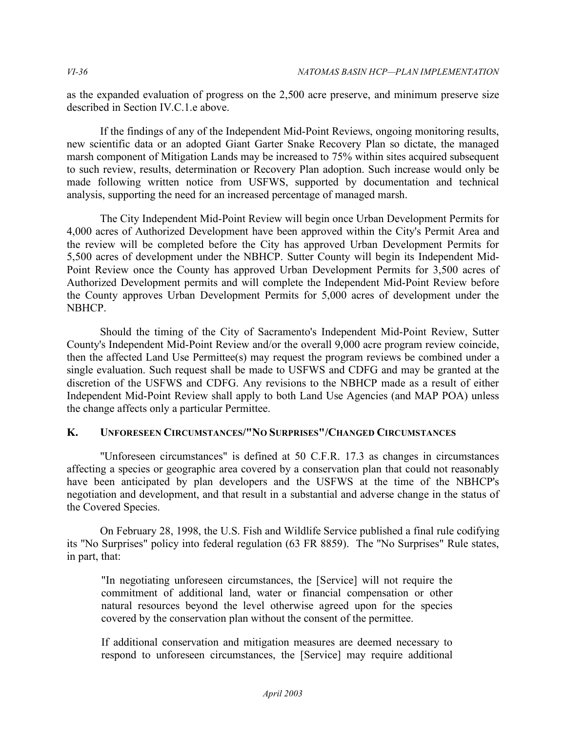as the expanded evaluation of progress on the 2,500 acre preserve, and minimum preserve size described in Section IV.C.1.e above.

 If the findings of any of the Independent Mid-Point Reviews, ongoing monitoring results, new scientific data or an adopted Giant Garter Snake Recovery Plan so dictate, the managed marsh component of Mitigation Lands may be increased to 75% within sites acquired subsequent to such review, results, determination or Recovery Plan adoption. Such increase would only be made following written notice from USFWS, supported by documentation and technical analysis, supporting the need for an increased percentage of managed marsh.

 The City Independent Mid-Point Review will begin once Urban Development Permits for 4,000 acres of Authorized Development have been approved within the City's Permit Area and the review will be completed before the City has approved Urban Development Permits for 5,500 acres of development under the NBHCP. Sutter County will begin its Independent Mid- Point Review once the County has approved Urban Development Permits for 3,500 acres of Authorized Development permits and will complete the Independent Mid-Point Review before the County approves Urban Development Permits for 5,000 acres of development under the NBHCP.

 Should the timing of the City of Sacramento's Independent Mid-Point Review, Sutter County's Independent Mid-Point Review and/or the overall 9,000 acre program review coincide, then the affected Land Use Permittee(s) may request the program reviews be combined under a single evaluation. Such request shall be made to USFWS and CDFG and may be granted at the discretion of the USFWS and CDFG. Any revisions to the NBHCP made as a result of either Independent Mid-Point Review shall apply to both Land Use Agencies (and MAP POA) unless the change affects only a particular Permittee.

# **K. UNFORESEEN CIRCUMSTANCES/"NO SURPRISES"/CHANGED CIRCUMSTANCES**

 "Unforeseen circumstances" is defined at 50 C.F.R. 17.3 as changes in circumstances affecting a species or geographic area covered by a conservation plan that could not reasonably have been anticipated by plan developers and the USFWS at the time of the NBHCP's negotiation and development, and that result in a substantial and adverse change in the status of the Covered Species.

 On February 28, 1998, the U.S. Fish and Wildlife Service published a final rule codifying its "No Surprises" policy into federal regulation (63 FR 8859). The "No Surprises" Rule states, in part, that:

 "In negotiating unforeseen circumstances, the [Service] will not require the commitment of additional land, water or financial compensation or other natural resources beyond the level otherwise agreed upon for the species covered by the conservation plan without the consent of the permittee.

 If additional conservation and mitigation measures are deemed necessary to respond to unforeseen circumstances, the [Service] may require additional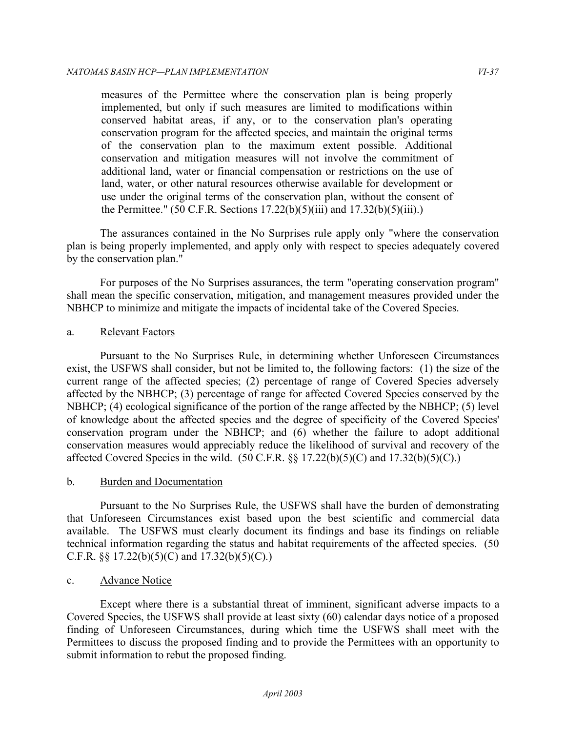measures of the Permittee where the conservation plan is being properly implemented, but only if such measures are limited to modifications within conserved habitat areas, if any, or to the conservation plan's operating conservation program for the affected species, and maintain the original terms of the conservation plan to the maximum extent possible. Additional conservation and mitigation measures will not involve the commitment of additional land, water or financial compensation or restrictions on the use of land, water, or other natural resources otherwise available for development or use under the original terms of the conservation plan, without the consent of the Permittee." (50 C.F.R. Sections  $17.22(b)(5)(iii)$  and  $17.32(b)(5)(iii)$ .)

 The assurances contained in the No Surprises rule apply only "where the conservation plan is being properly implemented, and apply only with respect to species adequately covered by the conservation plan."

 For purposes of the No Surprises assurances, the term "operating conservation program" shall mean the specific conservation, mitigation, and management measures provided under the NBHCP to minimize and mitigate the impacts of incidental take of the Covered Species.

#### a. Relevant Factors

 Pursuant to the No Surprises Rule, in determining whether Unforeseen Circumstances exist, the USFWS shall consider, but not be limited to, the following factors: (1) the size of the current range of the affected species; (2) percentage of range of Covered Species adversely affected by the NBHCP; (3) percentage of range for affected Covered Species conserved by the NBHCP; (4) ecological significance of the portion of the range affected by the NBHCP; (5) level of knowledge about the affected species and the degree of specificity of the Covered Species' conservation program under the NBHCP; and (6) whether the failure to adopt additional conservation measures would appreciably reduce the likelihood of survival and recovery of the affected Covered Species in the wild.  $(50 \text{ C.F.R.} \$ §§ 17.22(b)(5)(C) and 17.32(b)(5)(C).)

#### b. Burden and Documentation

 Pursuant to the No Surprises Rule, the USFWS shall have the burden of demonstrating that Unforeseen Circumstances exist based upon the best scientific and commercial data available. The USFWS must clearly document its findings and base its findings on reliable technical information regarding the status and habitat requirements of the affected species. (50 C.F.R.  $\S$  17.22(b)(5)(C) and 17.32(b)(5)(C).)

#### c. Advance Notice

 Except where there is a substantial threat of imminent, significant adverse impacts to a Covered Species, the USFWS shall provide at least sixty (60) calendar days notice of a proposed finding of Unforeseen Circumstances, during which time the USFWS shall meet with the Permittees to discuss the proposed finding and to provide the Permittees with an opportunity to submit information to rebut the proposed finding.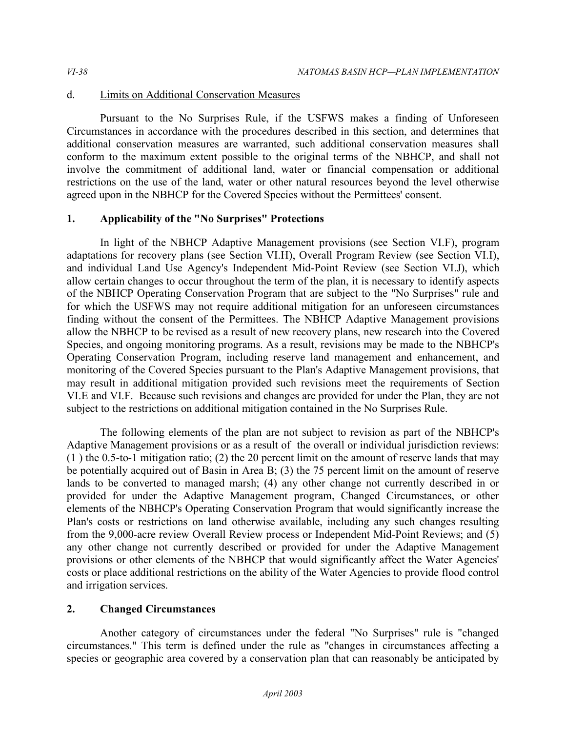### d. Limits on Additional Conservation Measures

 Pursuant to the No Surprises Rule, if the USFWS makes a finding of Unforeseen Circumstances in accordance with the procedures described in this section, and determines that additional conservation measures are warranted, such additional conservation measures shall conform to the maximum extent possible to the original terms of the NBHCP, and shall not involve the commitment of additional land, water or financial compensation or additional restrictions on the use of the land, water or other natural resources beyond the level otherwise agreed upon in the NBHCP for the Covered Species without the Permittees' consent.

# **1. Applicability of the "No Surprises" Protections**

In light of the NBHCP Adaptive Management provisions (see Section VI.F), program adaptations for recovery plans (see Section VI.H), Overall Program Review (see Section VI.I), and individual Land Use Agency's Independent Mid-Point Review (see Section VI.J), which allow certain changes to occur throughout the term of the plan, it is necessary to identify aspects of the NBHCP Operating Conservation Program that are subject to the "No Surprises" rule and for which the USFWS may not require additional mitigation for an unforeseen circumstances finding without the consent of the Permittees. The NBHCP Adaptive Management provisions allow the NBHCP to be revised as a result of new recovery plans, new research into the Covered Species, and ongoing monitoring programs. As a result, revisions may be made to the NBHCP's Operating Conservation Program, including reserve land management and enhancement, and monitoring of the Covered Species pursuant to the Plan's Adaptive Management provisions, that may result in additional mitigation provided such revisions meet the requirements of Section VI.E and VI.F. Because such revisions and changes are provided for under the Plan, they are not subject to the restrictions on additional mitigation contained in the No Surprises Rule.

The following elements of the plan are not subject to revision as part of the NBHCP's Adaptive Management provisions or as a result of the overall or individual jurisdiction reviews: (1 ) the 0.5-to-1 mitigation ratio; (2) the 20 percent limit on the amount of reserve lands that may be potentially acquired out of Basin in Area B; (3) the 75 percent limit on the amount of reserve lands to be converted to managed marsh; (4) any other change not currently described in or provided for under the Adaptive Management program, Changed Circumstances, or other elements of the NBHCP's Operating Conservation Program that would significantly increase the Plan's costs or restrictions on land otherwise available, including any such changes resulting from the 9,000-acre review Overall Review process or Independent Mid-Point Reviews; and (5) any other change not currently described or provided for under the Adaptive Management provisions or other elements of the NBHCP that would significantly affect the Water Agencies' costs or place additional restrictions on the ability of the Water Agencies to provide flood control and irrigation services.

# **2. Changed Circumstances**

 Another category of circumstances under the federal "No Surprises" rule is "changed circumstances." This term is defined under the rule as "changes in circumstances affecting a species or geographic area covered by a conservation plan that can reasonably be anticipated by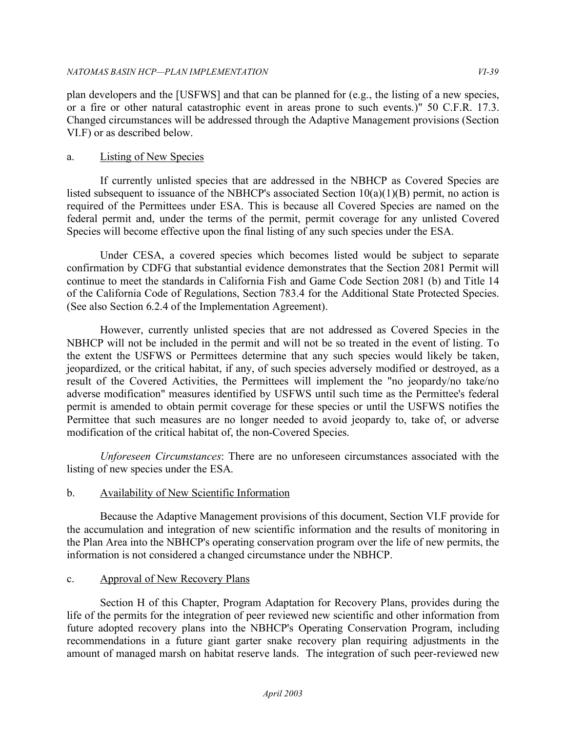plan developers and the [USFWS] and that can be planned for (e.g., the listing of a new species, or a fire or other natural catastrophic event in areas prone to such events.)" 50 C.F.R. 17.3. Changed circumstances will be addressed through the Adaptive Management provisions (Section VI.F) or as described below.

# a. Listing of New Species

 If currently unlisted species that are addressed in the NBHCP as Covered Species are listed subsequent to issuance of the NBHCP's associated Section  $10(a)(1)(B)$  permit, no action is required of the Permittees under ESA. This is because all Covered Species are named on the federal permit and, under the terms of the permit, permit coverage for any unlisted Covered Species will become effective upon the final listing of any such species under the ESA.

 Under CESA, a covered species which becomes listed would be subject to separate confirmation by CDFG that substantial evidence demonstrates that the Section 2081 Permit will continue to meet the standards in California Fish and Game Code Section 2081 (b) and Title 14 of the California Code of Regulations, Section 783.4 for the Additional State Protected Species. (See also Section 6.2.4 of the Implementation Agreement).

 However, currently unlisted species that are not addressed as Covered Species in the NBHCP will not be included in the permit and will not be so treated in the event of listing. To the extent the USFWS or Permittees determine that any such species would likely be taken, jeopardized, or the critical habitat, if any, of such species adversely modified or destroyed, as a result of the Covered Activities, the Permittees will implement the "no jeopardy/no take/no adverse modification" measures identified by USFWS until such time as the Permittee's federal permit is amended to obtain permit coverage for these species or until the USFWS notifies the Permittee that such measures are no longer needed to avoid jeopardy to, take of, or adverse modification of the critical habitat of, the non-Covered Species.

 *Unforeseen Circumstances*: There are no unforeseen circumstances associated with the listing of new species under the ESA.

# b. Availability of New Scientific Information

 Because the Adaptive Management provisions of this document, Section VI.F provide for the accumulation and integration of new scientific information and the results of monitoring in the Plan Area into the NBHCP's operating conservation program over the life of new permits, the information is not considered a changed circumstance under the NBHCP.

# c. Approval of New Recovery Plans

 Section H of this Chapter, Program Adaptation for Recovery Plans, provides during the life of the permits for the integration of peer reviewed new scientific and other information from future adopted recovery plans into the NBHCP's Operating Conservation Program, including recommendations in a future giant garter snake recovery plan requiring adjustments in the amount of managed marsh on habitat reserve lands. The integration of such peer-reviewed new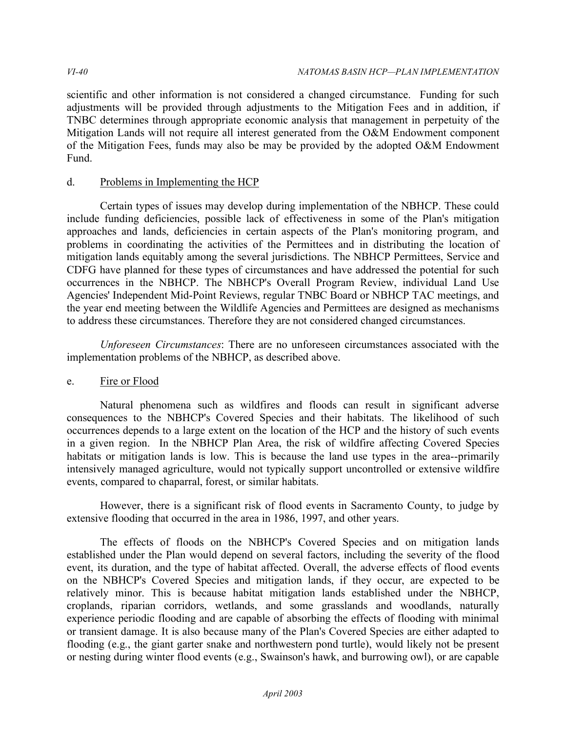scientific and other information is not considered a changed circumstance. Funding for such adjustments will be provided through adjustments to the Mitigation Fees and in addition, if TNBC determines through appropriate economic analysis that management in perpetuity of the Mitigation Lands will not require all interest generated from the O&M Endowment component of the Mitigation Fees, funds may also be may be provided by the adopted O&M Endowment Fund.

# Problems in Implementing the HCP

d. Problems in Implementing the HCP<br>Certain types of issues may develop during implementation of the NBHCP. These could include funding deficiencies, possible lack of effectiveness in some of the Plan's mitigation approaches and lands, deficiencies in certain aspects of the Plan's monitoring program, and problems in coordinating the activities of the Permittees and in distributing the location of mitigation lands equitably among the several jurisdictions. The NBHCP Permittees, Service and CDFG have planned for these types of circumstances and have addressed the potential for such occurrences in the NBHCP. The NBHCP's Overall Program Review, individual Land Use Agencies' Independent Mid-Point Reviews, regular TNBC Board or NBHCP TAC meetings, and the year end meeting between the Wildlife Agencies and Permittees are designed as mechanisms to address these circumstances. Therefore they are not considered changed circumstances.

 *Unforeseen Circumstances*: There are no unforeseen circumstances associated with the implementation problems of the NBHCP, as described above.

# e. Fire or Flood

 Natural phenomena such as wildfires and floods can result in significant adverse consequences to the NBHCP's Covered Species and their habitats. The likelihood of such occurrences depends to a large extent on the location of the HCP and the history of such events in a given region. In the NBHCP Plan Area, the risk of wildfire affecting Covered Species habitats or mitigation lands is low. This is because the land use types in the area--primarily intensively managed agriculture, would not typically support uncontrolled or extensive wildfire events, compared to chaparral, forest, or similar habitats.

 However, there is a significant risk of flood events in Sacramento County, to judge by extensive flooding that occurred in the area in 1986, 1997, and other years.

 The effects of floods on the NBHCP's Covered Species and on mitigation lands established under the Plan would depend on several factors, including the severity of the flood event, its duration, and the type of habitat affected. Overall, the adverse effects of flood events on the NBHCP's Covered Species and mitigation lands, if they occur, are expected to be relatively minor. This is because habitat mitigation lands established under the NBHCP, croplands, riparian corridors, wetlands, and some grasslands and woodlands, naturally experience periodic flooding and are capable of absorbing the effects of flooding with minimal or transient damage. It is also because many of the Plan's Covered Species are either adapted to flooding (e.g., the giant garter snake and northwestern pond turtle), would likely not be present or nesting during winter flood events (e.g., Swainson's hawk, and burrowing owl), or are capable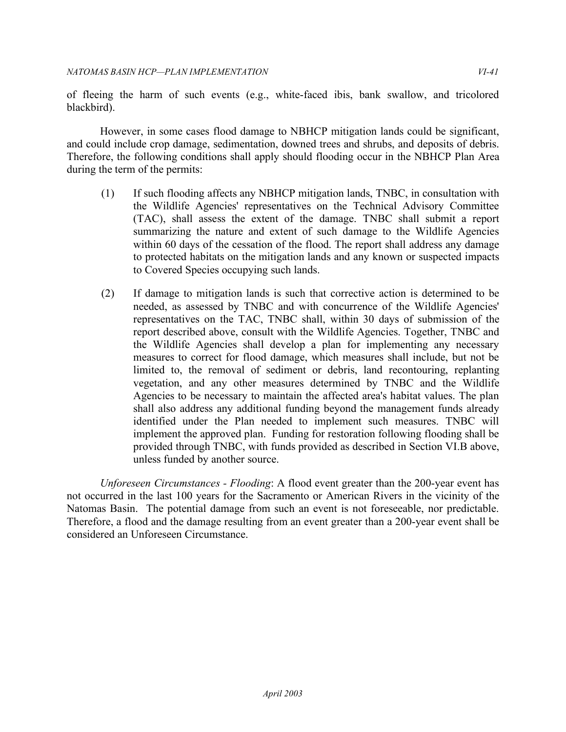of fleeing the harm of such events (e.g., white-faced ibis, bank swallow, and tricolored blackbird).

 However, in some cases flood damage to NBHCP mitigation lands could be significant, and could include crop damage, sedimentation, downed trees and shrubs, and deposits of debris. Therefore, the following conditions shall apply should flooding occur in the NBHCP Plan Area during the term of the permits:

- (1) If such flooding affects any NBHCP mitigation lands, TNBC, in consultation with the Wildlife Agencies' representatives on the Technical Advisory Committee (TAC), shall assess the extent of the damage. TNBC shall submit a report summarizing the nature and extent of such damage to the Wildlife Agencies within 60 days of the cessation of the flood. The report shall address any damage to protected habitats on the mitigation lands and any known or suspected impacts to Covered Species occupying such lands.
- (2) If damage to mitigation lands is such that corrective action is determined to be needed, as assessed by TNBC and with concurrence of the Wildlife Agencies' representatives on the TAC, TNBC shall, within 30 days of submission of the report described above, consult with the Wildlife Agencies. Together, TNBC and the Wildlife Agencies shall develop a plan for implementing any necessary measures to correct for flood damage, which measures shall include, but not be limited to, the removal of sediment or debris, land recontouring, replanting vegetation, and any other measures determined by TNBC and the Wildlife Agencies to be necessary to maintain the affected area's habitat values. The plan shall also address any additional funding beyond the management funds already identified under the Plan needed to implement such measures. TNBC will implement the approved plan. Funding for restoration following flooding shall be provided through TNBC, with funds provided as described in Section VI.B above, unless funded by another source.

 *Unforeseen Circumstances - Flooding*: A flood event greater than the 200-year event has not occurred in the last 100 years for the Sacramento or American Rivers in the vicinity of the Natomas Basin. The potential damage from such an event is not foreseeable, nor predictable. Therefore, a flood and the damage resulting from an event greater than a 200-year event shall be considered an Unforeseen Circumstance.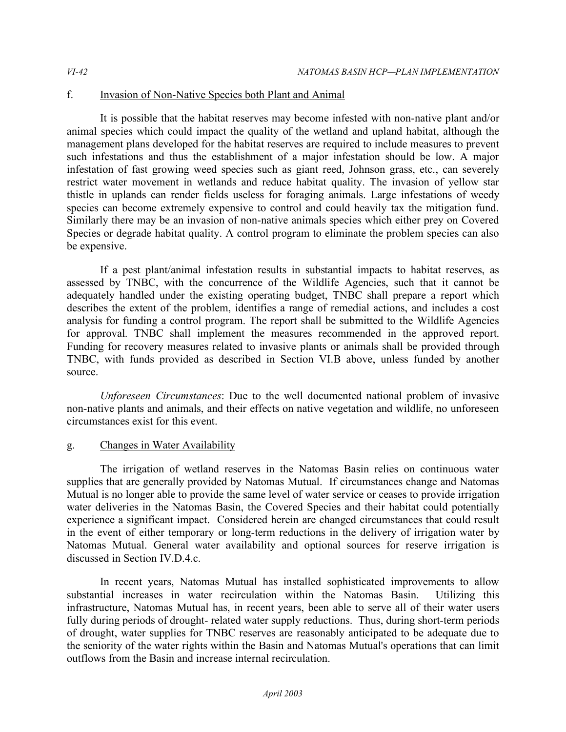# f. Invasion of Non-Native Species both Plant and Animal

 It is possible that the habitat reserves may become infested with non-native plant and/or animal species which could impact the quality of the wetland and upland habitat, although the management plans developed for the habitat reserves are required to include measures to prevent such infestations and thus the establishment of a major infestation should be low. A major infestation of fast growing weed species such as giant reed, Johnson grass, etc., can severely restrict water movement in wetlands and reduce habitat quality. The invasion of yellow star thistle in uplands can render fields useless for foraging animals. Large infestations of weedy species can become extremely expensive to control and could heavily tax the mitigation fund. Similarly there may be an invasion of non-native animals species which either prey on Covered Species or degrade habitat quality. A control program to eliminate the problem species can also be expensive.

 If a pest plant/animal infestation results in substantial impacts to habitat reserves, as assessed by TNBC, with the concurrence of the Wildlife Agencies, such that it cannot be adequately handled under the existing operating budget, TNBC shall prepare a report which describes the extent of the problem, identifies a range of remedial actions, and includes a cost analysis for funding a control program. The report shall be submitted to the Wildlife Agencies for approval. TNBC shall implement the measures recommended in the approved report. Funding for recovery measures related to invasive plants or animals shall be provided through TNBC, with funds provided as described in Section VI.B above, unless funded by another source.

 *Unforeseen Circumstances*: Due to the well documented national problem of invasive non-native plants and animals, and their effects on native vegetation and wildlife, no unforeseen circumstances exist for this event.

#### g. Changes in Water Availability

 The irrigation of wetland reserves in the Natomas Basin relies on continuous water supplies that are generally provided by Natomas Mutual. If circumstances change and Natomas Mutual is no longer able to provide the same level of water service or ceases to provide irrigation water deliveries in the Natomas Basin, the Covered Species and their habitat could potentially experience a significant impact. Considered herein are changed circumstances that could result in the event of either temporary or long-term reductions in the delivery of irrigation water by Natomas Mutual. General water availability and optional sources for reserve irrigation is discussed in Section IV.D.4.c.

 In recent years, Natomas Mutual has installed sophisticated improvements to allow substantial increases in water recirculation within the Natomas Basin. Utilizing this infrastructure, Natomas Mutual has, in recent years, been able to serve all of their water users fully during periods of drought- related water supply reductions. Thus, during short-term periods of drought, water supplies for TNBC reserves are reasonably anticipated to be adequate due to the seniority of the water rights within the Basin and Natomas Mutual's operations that can limit outflows from the Basin and increase internal recirculation.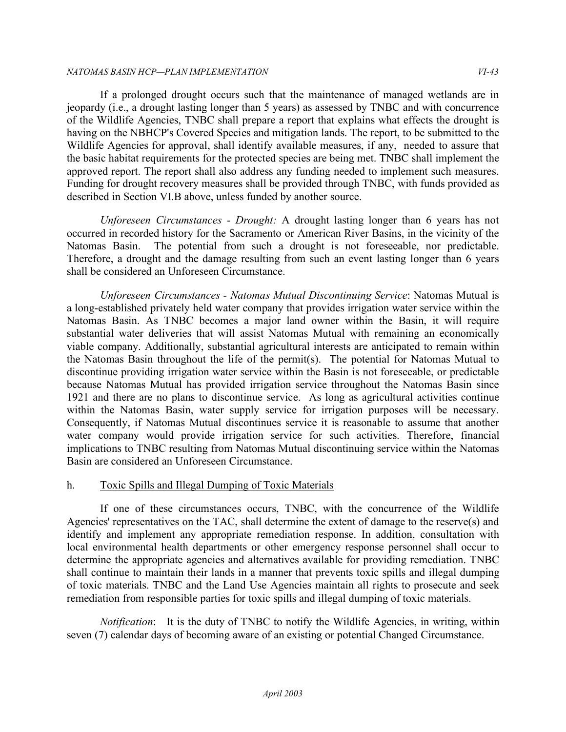#### *NATOMAS BASIN HCP—PLAN IMPLEMENTATION VI-43*

 If a prolonged drought occurs such that the maintenance of managed wetlands are in jeopardy (i.e., a drought lasting longer than 5 years) as assessed by TNBC and with concurrence of the Wildlife Agencies, TNBC shall prepare a report that explains what effects the drought is having on the NBHCP's Covered Species and mitigation lands. The report, to be submitted to the Wildlife Agencies for approval, shall identify available measures, if any, needed to assure that the basic habitat requirements for the protected species are being met. TNBC shall implement the approved report. The report shall also address any funding needed to implement such measures. Funding for drought recovery measures shall be provided through TNBC, with funds provided as described in Section VI.B above, unless funded by another source.

 *Unforeseen Circumstances - Drought:* A drought lasting longer than 6 years has not occurred in recorded history for the Sacramento or American River Basins, in the vicinity of the Natomas Basin. Therefore, a drought and the damage resulting from such an event lasting longer than 6 years shall be considered an Unforeseen Circumstance. The potential from such a drought is not foreseeable, nor predictable.

 *Unforeseen Circumstances - Natomas Mutual Discontinuing Service*: Natomas Mutual is a long-established privately held water company that provides irrigation water service within the Natomas Basin. As TNBC becomes a major land owner within the Basin, it will require substantial water deliveries that will assist Natomas Mutual with remaining an economically viable company. Additionally, substantial agricultural interests are anticipated to remain within the Natomas Basin throughout the life of the permit(s). The potential for Natomas Mutual to discontinue providing irrigation water service within the Basin is not foreseeable, or predictable because Natomas Mutual has provided irrigation service throughout the Natomas Basin since 1921 and there are no plans to discontinue service. As long as agricultural activities continue within the Natomas Basin, water supply service for irrigation purposes will be necessary. Consequently, if Natomas Mutual discontinues service it is reasonable to assume that another water company would provide irrigation service for such activities. Therefore, financial implications to TNBC resulting from Natomas Mutual discontinuing service within the Natomas Basin are considered an Unforeseen Circumstance.

#### h. Toxic Spills and Illegal Dumping of Toxic Materials

 If one of these circumstances occurs, TNBC, with the concurrence of the Wildlife Agencies' representatives on the TAC, shall determine the extent of damage to the reserve(s) and local environmental health departments or other emergency response personnel shall occur to determine the appropriate agencies and alternatives available for providing remediation. TNBC shall continue to maintain their lands in a manner that prevents toxic spills and illegal dumping of toxic materials. TNBC and the Land Use Agencies maintain all rights to prosecute and seek remediation from responsible parties for toxic spills and illegal dumping of toxic materials. identify and implement any appropriate remediation response. In addition, consultation with

 *Notification*: It is the duty of TNBC to notify the Wildlife Agencies, in writing, within seven (7) calendar days of becoming aware of an existing or potential Changed Circumstance.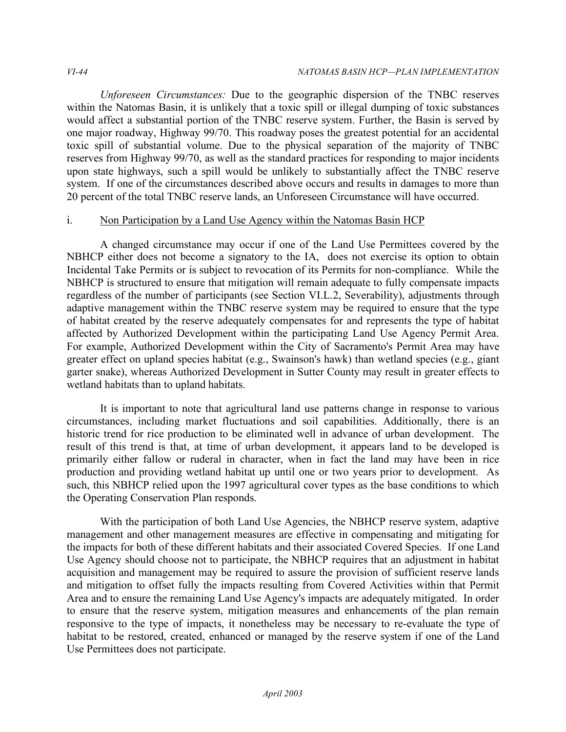*Unforeseen Circumstances:* Due to the geographic dispersion of the TNBC reserves within the Natomas Basin, it is unlikely that a toxic spill or illegal dumping of toxic substances would affect a substantial portion of the TNBC reserve system. Further, the Basin is served by one major roadway, Highway 99/70. This roadway poses the greatest potential for an accidental toxic spill of substantial volume. Due to the physical separation of the majority of TNBC reserves from Highway 99/70, as well as the standard practices for responding to major incidents upon state highways, such a spill would be unlikely to substantially affect the TNBC reserve system. If one of the circumstances described above occurs and results in damages to more than 20 percent of the total TNBC reserve lands, an Unforeseen Circumstance will have occurred.

### i. Non Participation by a Land Use Agency within the Natomas Basin HCP

 A changed circumstance may occur if one of the Land Use Permittees covered by the NBHCP either does not become a signatory to the IA, does not exercise its option to obtain Incidental Take Permits or is subject to revocation of its Permits for non-compliance. While the NBHCP is structured to ensure that mitigation will remain adequate to fully compensate impacts regardless of the number of participants (see Section VI.L.2, Severability), adjustments through adaptive management within the TNBC reserve system may be required to ensure that the type of habitat created by the reserve adequately compensates for and represents the type of habitat affected by Authorized Development within the participating Land Use Agency Permit Area. For example, Authorized Development within the City of Sacramento's Permit Area may have greater effect on upland species habitat (e.g., Swainson's hawk) than wetland species (e.g., giant garter snake), whereas Authorized Development in Sutter County may result in greater effects to wetland habitats than to upland habitats.

 It is important to note that agricultural land use patterns change in response to various circumstances, including market fluctuations and soil capabilities. Additionally, there is an historic trend for rice production to be eliminated well in advance of urban development. The result of this trend is that, at time of urban development, it appears land to be developed is primarily either fallow or ruderal in character, when in fact the land may have been in rice production and providing wetland habitat up until one or two years prior to development. As such, this NBHCP relied upon the 1997 agricultural cover types as the base conditions to which the Operating Conservation Plan responds.

 With the participation of both Land Use Agencies, the NBHCP reserve system, adaptive management and other management measures are effective in compensating and mitigating for the impacts for both of these different habitats and their associated Covered Species. If one Land Use Agency should choose not to participate, the NBHCP requires that an adjustment in habitat acquisition and management may be required to assure the provision of sufficient reserve lands and mitigation to offset fully the impacts resulting from Covered Activities within that Permit Area and to ensure the remaining Land Use Agency's impacts are adequately mitigated. In order to ensure that the reserve system, mitigation measures and enhancements of the plan remain responsive to the type of impacts, it nonetheless may be necessary to re-evaluate the type of habitat to be restored, created, enhanced or managed by the reserve system if one of the Land Use Permittees does not participate.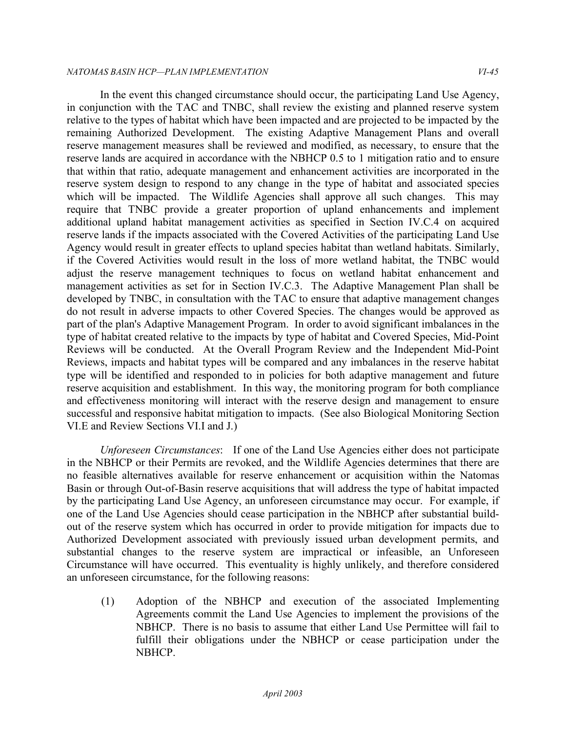In the event this changed circumstance should occur, the participating Land Use Agency, in conjunction with the TAC and TNBC, shall review the existing and planned reserve system relative to the types of habitat which have been impacted and are projected to be impacted by the remaining Authorized Development. The existing Adaptive Management Plans and overall reserve management measures shall be reviewed and modified, as necessary, to ensure that the reserve lands are acquired in accordance with the NBHCP 0.5 to 1 mitigation ratio and to ensure that within that ratio, adequate management and enhancement activities are incorporated in the reserve system design to respond to any change in the type of habitat and associated species which will be impacted. The Wildlife Agencies shall approve all such changes. This may require that TNBC provide a greater proportion of upland enhancements and implement additional upland habitat management activities as specified in Section IV.C.4 on acquired reserve lands if the impacts associated with the Covered Activities of the participating Land Use Agency would result in greater effects to upland species habitat than wetland habitats. Similarly, if the Covered Activities would result in the loss of more wetland habitat, the TNBC would adjust the reserve management techniques to focus on wetland habitat enhancement and management activities as set for in Section IV.C.3. The Adaptive Management Plan shall be developed by TNBC, in consultation with the TAC to ensure that adaptive management changes do not result in adverse impacts to other Covered Species. The changes would be approved as part of the plan's Adaptive Management Program. In order to avoid significant imbalances in the type of habitat created relative to the impacts by type of habitat and Covered Species, Mid-Point Reviews will be conducted. At the Overall Program Review and the Independent Mid-Point Reviews, impacts and habitat types will be compared and any imbalances in the reserve habitat type will be identified and responded to in policies for both adaptive management and future reserve acquisition and establishment. In this way, the monitoring program for both compliance and effectiveness monitoring will interact with the reserve design and management to ensure successful and responsive habitat mitigation to impacts. (See also Biological Monitoring Section VI.E and Review Sections VI.I and J.)

 *Unforeseen Circumstances*: If one of the Land Use Agencies either does not participate in the NBHCP or their Permits are revoked, and the Wildlife Agencies determines that there are no feasible alternatives available for reserve enhancement or acquisition within the Natomas Basin or through Out-of-Basin reserve acquisitions that will address the type of habitat impacted by the participating Land Use Agency, an unforeseen circumstance may occur. For example, if one of the Land Use Agencies should cease participation in the NBHCP after substantial build- out of the reserve system which has occurred in order to provide mitigation for impacts due to Authorized Development associated with previously issued urban development permits, and substantial changes to the reserve system are impractical or infeasible, an Unforeseen Circumstance will have occurred. This eventuality is highly unlikely, and therefore considered an unforeseen circumstance, for the following reasons:

 (1) Adoption of the NBHCP and execution of the associated Implementing Agreements commit the Land Use Agencies to implement the provisions of the NBHCP. There is no basis to assume that either Land Use Permittee will fail to fulfill their obligations under the NBHCP or cease participation under the NBHCP.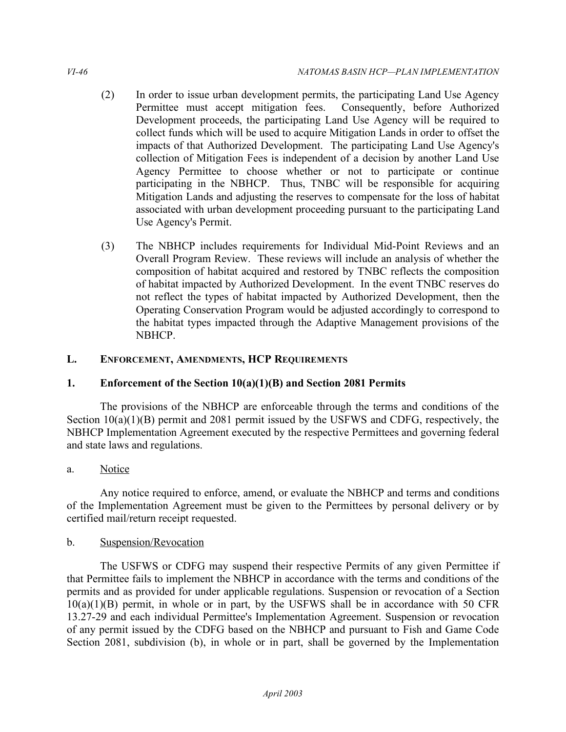- (2) In order to issue urban development permits, the participating Land Use Agency Permittee must accept mitigation fees. Consequently, before Authorized Development proceeds, the participating Land Use Agency will be required to collect funds which will be used to acquire Mitigation Lands in order to offset the impacts of that Authorized Development. The participating Land Use Agency's collection of Mitigation Fees is independent of a decision by another Land Use Agency Permittee to choose whether or not to participate or continue participating in the NBHCP. Thus, TNBC will be responsible for acquiring Mitigation Lands and adjusting the reserves to compensate for the loss of habitat associated with urban development proceeding pursuant to the participating Land Use Agency's Permit.
- (3) The NBHCP includes requirements for Individual Mid-Point Reviews and an Overall Program Review. These reviews will include an analysis of whether the composition of habitat acquired and restored by TNBC reflects the composition of habitat impacted by Authorized Development. In the event TNBC reserves do not reflect the types of habitat impacted by Authorized Development, then the Operating Conservation Program would be adjusted accordingly to correspond to the habitat types impacted through the Adaptive Management provisions of the NBHCP.

# **L. ENFORCEMENT, AMENDMENTS, HCP REQUIREMENTS**

# **1. Enforcement of the Section 10(a)(1)(B) and Section 2081 Permits**

 The provisions of the NBHCP are enforceable through the terms and conditions of the Section 10(a)(1)(B) permit and 2081 permit issued by the USFWS and CDFG, respectively, the NBHCP Implementation Agreement executed by the respective Permittees and governing federal and state laws and regulations.

#### a. Notice

 Any notice required to enforce, amend, or evaluate the NBHCP and terms and conditions of the Implementation Agreement must be given to the Permittees by personal delivery or by certified mail/return receipt requested.

#### b. Suspension/Revocation

 The USFWS or CDFG may suspend their respective Permits of any given Permittee if that Permittee fails to implement the NBHCP in accordance with the terms and conditions of the permits and as provided for under applicable regulations. Suspension or revocation of a Section  $10(a)(1)(B)$  permit, in whole or in part, by the USFWS shall be in accordance with 50 CFR 13.27-29 and each individual Permittee's Implementation Agreement. Suspension or revocation of any permit issued by the CDFG based on the NBHCP and pursuant to Fish and Game Code Section 2081, subdivision (b), in whole or in part, shall be governed by the Implementation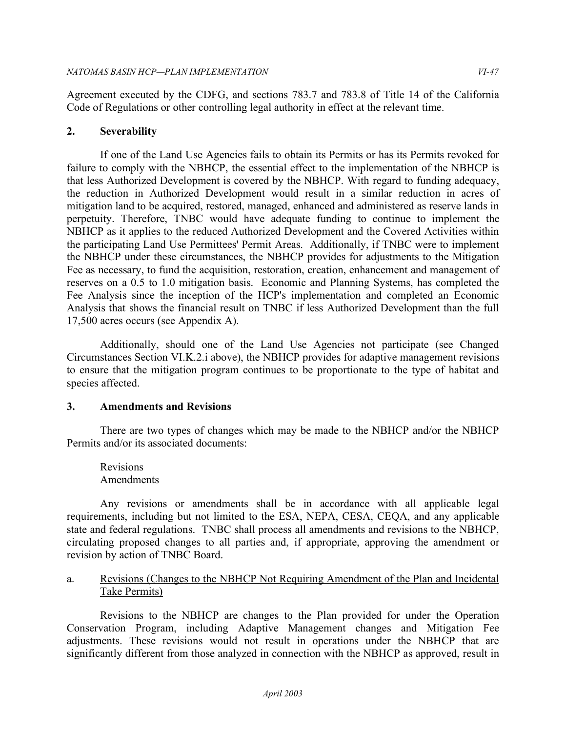Agreement executed by the CDFG, and sections 783.7 and 783.8 of Title 14 of the California Code of Regulations or other controlling legal authority in effect at the relevant time.

#### **2. Severability**

 If one of the Land Use Agencies fails to obtain its Permits or has its Permits revoked for failure to comply with the NBHCP, the essential effect to the implementation of the NBHCP is that less Authorized Development is covered by the NBHCP. With regard to funding adequacy, the reduction in Authorized Development would result in a similar reduction in acres of mitigation land to be acquired, restored, managed, enhanced and administered as reserve lands in perpetuity. Therefore, TNBC would have adequate funding to continue to implement the NBHCP as it applies to the reduced Authorized Development and the Covered Activities within the participating Land Use Permittees' Permit Areas. Additionally, if TNBC were to implement the NBHCP under these circumstances, the NBHCP provides for adjustments to the Mitigation Fee as necessary, to fund the acquisition, restoration, creation, enhancement and management of reserves on a 0.5 to 1.0 mitigation basis. Economic and Planning Systems, has completed the Fee Analysis since the inception of the HCP's implementation and completed an Economic Analysis that shows the financial result on TNBC if less Authorized Development than the full 17,500 acres occurs (see Appendix A).

 Additionally, should one of the Land Use Agencies not participate (see Changed Circumstances Section VI.K.2.i above), the NBHCP provides for adaptive management revisions to ensure that the mitigation program continues to be proportionate to the type of habitat and species affected.

#### **3. Amendments and Revisions**

 There are two types of changes which may be made to the NBHCP and/or the NBHCP Permits and/or its associated documents:

Revisions Amendments

 Any revisions or amendments shall be in accordance with all applicable legal requirements, including but not limited to the ESA, NEPA, CESA, CEQA, and any applicable state and federal regulations. TNBC shall process all amendments and revisions to the NBHCP, circulating proposed changes to all parties and, if appropriate, approving the amendment or revision by action of TNBC Board.

#### a. Revisions (Changes to the NBHCP Not Requiring Amendment of the Plan and Incidental Take Permits)

 Revisions to the NBHCP are changes to the Plan provided for under the Operation Conservation Program, including Adaptive Management changes and Mitigation Fee adjustments. These revisions would not result in operations under the NBHCP that are significantly different from those analyzed in connection with the NBHCP as approved, result in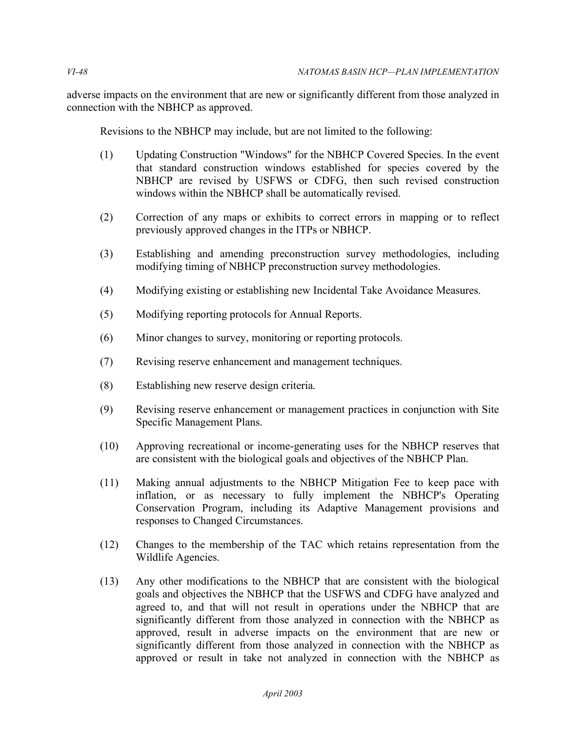adverse impacts on the environment that are new or significantly different from those analyzed in connection with the NBHCP as approved.

Revisions to the NBHCP may include, but are not limited to the following:

- (1) Updating Construction "Windows" for the NBHCP Covered Species. In the event that standard construction windows established for species covered by the NBHCP are revised by USFWS or CDFG, then such revised construction windows within the NBHCP shall be automatically revised.
- (2) Correction of any maps or exhibits to correct errors in mapping or to reflect previously approved changes in the ITPs or NBHCP.
- modifying timing of NBHCP preconstruction survey methodologies. (3) Establishing and amending preconstruction survey methodologies, including
- (4) Modifying existing or establishing new Incidental Take Avoidance Measures.
- (5) Modifying reporting protocols for Annual Reports.
- (6) Minor changes to survey, monitoring or reporting protocols.
- (7) Revising reserve enhancement and management techniques.
- (8) Establishing new reserve design criteria.
- (9) Revising reserve enhancement or management practices in conjunction with Site Specific Management Plans.
- (10) Approving recreational or income-generating uses for the NBHCP reserves that are consistent with the biological goals and objectives of the NBHCP Plan.
- (11) Making annual adjustments to the NBHCP Mitigation Fee to keep pace with inflation, or as necessary to fully implement the NBHCP's Operating Conservation Program, including its Adaptive Management provisions and responses to Changed Circumstances.
- (12) Changes to the membership of the TAC which retains representation from the Wildlife Agencies.
- (13) Any other modifications to the NBHCP that are consistent with the biological goals and objectives the NBHCP that the USFWS and CDFG have analyzed and agreed to, and that will not result in operations under the NBHCP that are significantly different from those analyzed in connection with the NBHCP as approved, result in adverse impacts on the environment that are new or significantly different from those analyzed in connection with the NBHCP as approved or result in take not analyzed in connection with the NBHCP as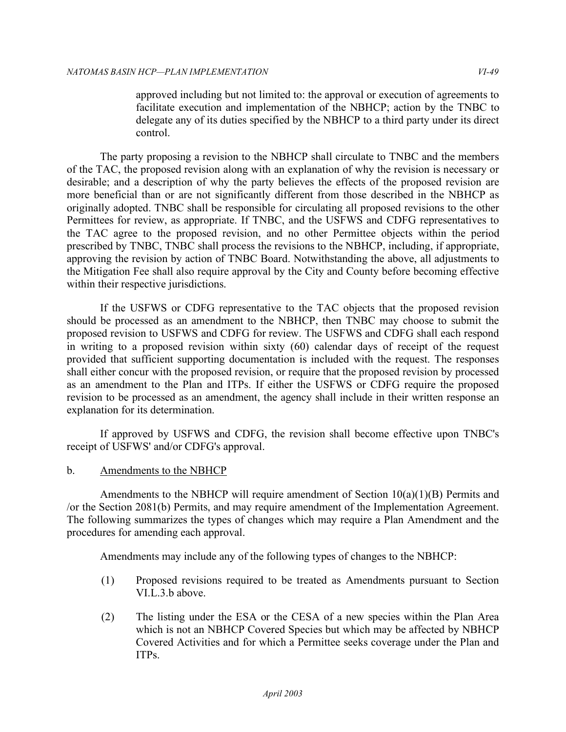approved including but not limited to: the approval or execution of agreements to facilitate execution and implementation of the NBHCP; action by the TNBC to delegate any of its duties specified by the NBHCP to a third party under its direct control.

 The party proposing a revision to the NBHCP shall circulate to TNBC and the members of the TAC, the proposed revision along with an explanation of why the revision is necessary or desirable; and a description of why the party believes the effects of the proposed revision are more beneficial than or are not significantly different from those described in the NBHCP as originally adopted. TNBC shall be responsible for circulating all proposed revisions to the other Permittees for review, as appropriate. If TNBC, and the USFWS and CDFG representatives to the TAC agree to the proposed revision, and no other Permittee objects within the period prescribed by TNBC, TNBC shall process the revisions to the NBHCP, including, if appropriate, approving the revision by action of TNBC Board. Notwithstanding the above, all adjustments to the Mitigation Fee shall also require approval by the City and County before becoming effective within their respective jurisdictions.

 If the USFWS or CDFG representative to the TAC objects that the proposed revision should be processed as an amendment to the NBHCP, then TNBC may choose to submit the proposed revision to USFWS and CDFG for review. The USFWS and CDFG shall each respond in writing to a proposed revision within sixty (60) calendar days of receipt of the request provided that sufficient supporting documentation is included with the request. The responses shall either concur with the proposed revision, or require that the proposed revision by processed as an amendment to the Plan and ITPs. If either the USFWS or CDFG require the proposed revision to be processed as an amendment, the agency shall include in their written response an explanation for its determination.

 If approved by USFWS and CDFG, the revision shall become effective upon TNBC's receipt of USFWS' and/or CDFG's approval.

b. Amendments to the NBHCP

Amendments to the NBHCP will require amendment of Section  $10(a)(1)(B)$  Permits and /or the Section 2081(b) Permits, and may require amendment of the Implementation Agreement. The following summarizes the types of changes which may require a Plan Amendment and the procedures for amending each approval.

Amendments may include any of the following types of changes to the NBHCP:

- (1) Proposed revisions required to be treated as Amendments pursuant to Section VI.L.3.b above.
- (2) The listing under the ESA or the CESA of a new species within the Plan Area which is not an NBHCP Covered Species but which may be affected by NBHCP Covered Activities and for which a Permittee seeks coverage under the Plan and ITPs.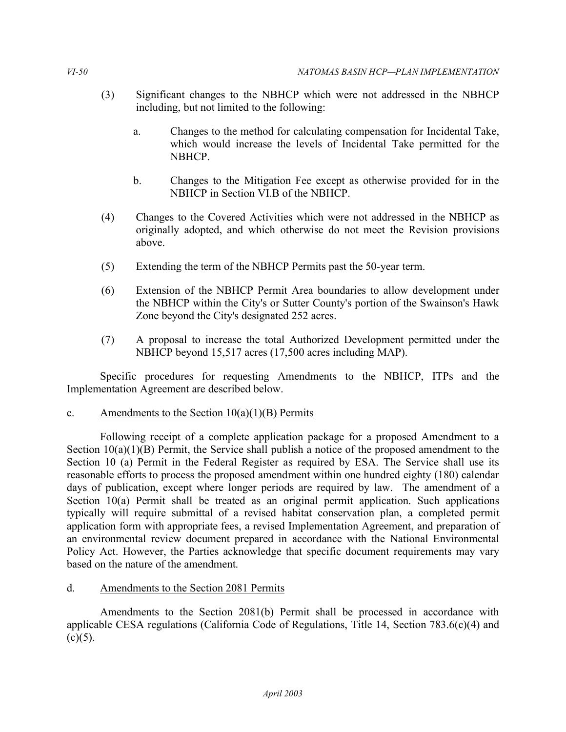- (3) Significant changes to the NBHCP which were not addressed in the NBHCP including, but not limited to the following:
	- a. Changes to the method for calculating compensation for Incidental Take, which would increase the levels of Incidental Take permitted for the NBHCP.
	- b. Changes to the Mitigation Fee except as otherwise provided for in the NBHCP in Section VI.B of the NBHCP.
- (4) Changes to the Covered Activities which were not addressed in the NBHCP as originally adopted, and which otherwise do not meet the Revision provisions above.
- (5) Extending the term of the NBHCP Permits past the 50-year term.
- (6) Extension of the NBHCP Permit Area boundaries to allow development under the NBHCP within the City's or Sutter County's portion of the Swainson's Hawk Zone beyond the City's designated 252 acres.
- (7) A proposal to increase the total Authorized Development permitted under the NBHCP beyond 15,517 acres (17,500 acres including MAP).

 Specific procedures for requesting Amendments to the NBHCP, ITPs and the Implementation Agreement are described below.

#### c. Amendments to the Section  $10(a)(1)(B)$  Permits

 Following receipt of a complete application package for a proposed Amendment to a Section  $10(a)(1)(B)$  Permit, the Service shall publish a notice of the proposed amendment to the Section 10 (a) Permit in the Federal Register as required by ESA. The Service shall use its reasonable efforts to process the proposed amendment within one hundred eighty (180) calendar days of publication, except where longer periods are required by law. The amendment of a Section 10(a) Permit shall be treated as an original permit application. Such applications typically will require submittal of a revised habitat conservation plan, a completed permit application form with appropriate fees, a revised Implementation Agreement, and preparation of an environmental review document prepared in accordance with the National Environmental Policy Act. However, the Parties acknowledge that specific document requirements may vary based on the nature of the amendment.

#### d. Amendments to the Section 2081 Permits

 Amendments to the Section 2081(b) Permit shall be processed in accordance with applicable CESA regulations (California Code of Regulations, Title 14, Section 783.6(c)(4) and  $(c)(5)$ .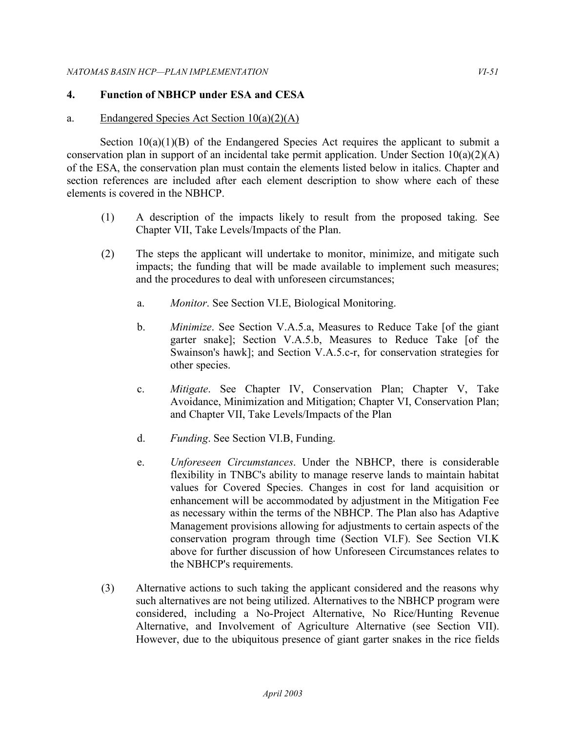# **4. Function of NBHCP under ESA and CESA**

### a. Endangered Species Act Section 10(a)(2)(A)

Section  $10(a)(1)(B)$  of the Endangered Species Act requires the applicant to submit a conservation plan in support of an incidental take permit application. Under Section 10(a)(2)(A) of the ESA, the conservation plan must contain the elements listed below in italics. Chapter and section references are included after each element description to show where each of these elements is covered in the NBHCP.

- $(1)$  Chapter VII, Take Levels/Impacts of the Plan. (1) A description of the impacts likely to result from the proposed taking. See
- $(2)$  impacts; the funding that will be made available to implement such measures; and the procedures to deal with unforeseen circumstances; The steps the applicant will undertake to monitor, minimize, and mitigate such
	- a. *Monitor*. See Section VI.E, Biological Monitoring.
	- b. *Minimize*. See Section V.A.5.a, Measures to Reduce Take [of the giant garter snake]; Section V.A.5.b, Measures to Reduce Take [of the Swainson's hawk]; and Section V.A.5.c-r, for conservation strategies for other species.
	- c. *Mitigate*. See Chapter IV, Conservation Plan; Chapter V, Take Avoidance, Minimization and Mitigation; Chapter VI, Conservation Plan; and Chapter VII, Take Levels/Impacts of the Plan
	- d. *Funding*. See Section VI.B, Funding.
	- e. *Unforeseen Circumstances*. Under the NBHCP, there is considerable flexibility in TNBC's ability to manage reserve lands to maintain habitat values for Covered Species. Changes in cost for land acquisition or enhancement will be accommodated by adjustment in the Mitigation Fee as necessary within the terms of the NBHCP. The Plan also has Adaptive Management provisions allowing for adjustments to certain aspects of the conservation program through time (Section VI.F). See Section VI.K above for further discussion of how Unforeseen Circumstances relates to the NBHCP's requirements.
- $(3)$  such alternatives are not being utilized. Alternatives to the NBHCP program were Alternative, and Involvement of Agriculture Alternative (see Section VII). However, due to the ubiquitous presence of giant garter snakes in the rice fields Alternative actions to such taking the applicant considered and the reasons why considered, including a No-Project Alternative, No Rice/Hunting Revenue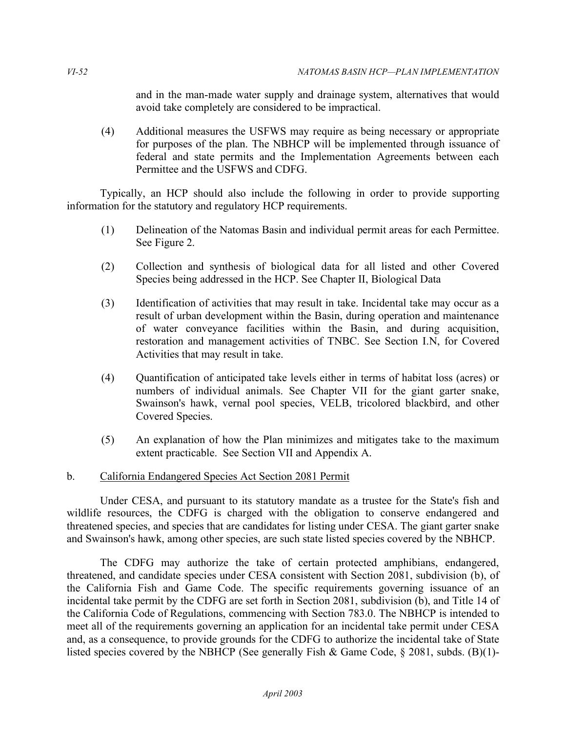and in the man-made water supply and drainage system, alternatives that would avoid take completely are considered to be impractical.

 $(4)$  for purposes of the plan. The NBHCP will be implemented through issuance of federal and state permits and the Implementation Agreements between each Permittee and the USFWS and CDFG. (4) Additional measures the USFWS may require as being necessary or appropriate

 Typically, an HCP should also include the following in order to provide supporting information for the statutory and regulatory HCP requirements.

- $(1)$  See Figure 2. (1) Delineation of the Natomas Basin and individual permit areas for each Permittee.
- $(2)$  Species being addressed in the HCP. See Chapter II, Biological Data (2) Collection and synthesis of biological data for all listed and other Covered
- (3) Identification of activities that may result in take. Incidental take may occur as a result of urban development within the Basin, during operation and maintenance of water conveyance facilities within the Basin, and during acquisition, restoration and management activities of TNBC. See Section I.N, for Covered Activities that may result in take.
- $(4)$  numbers of individual animals. See Chapter VII for the giant garter snake, Swainson's hawk, vernal pool species, VELB, tricolored blackbird, and other (4) Quantification of anticipated take levels either in terms of habitat loss (acres) or Covered Species.
- (5) An explanation of how the Plan minimizes and mitigates take to the maximum extent practicable. See Section VII and Appendix A.

#### b. California Endangered Species Act Section 2081 Permit

 Under CESA, and pursuant to its statutory mandate as a trustee for the State's fish and wildlife resources, the CDFG is charged with the obligation to conserve endangered and threatened species, and species that are candidates for listing under CESA. The giant garter snake and Swainson's hawk, among other species, are such state listed species covered by the NBHCP.

 The CDFG may authorize the take of certain protected amphibians, endangered, threatened, and candidate species under CESA consistent with Section 2081, subdivision (b), of the California Fish and Game Code. The specific requirements governing issuance of an incidental take permit by the CDFG are set forth in Section 2081, subdivision (b), and Title 14 of the California Code of Regulations, commencing with Section 783.0. The NBHCP is intended to meet all of the requirements governing an application for an incidental take permit under CESA and, as a consequence, to provide grounds for the CDFG to authorize the incidental take of State listed species covered by the NBHCP (See generally Fish & Game Code, § 2081, subds. (B)(1)-